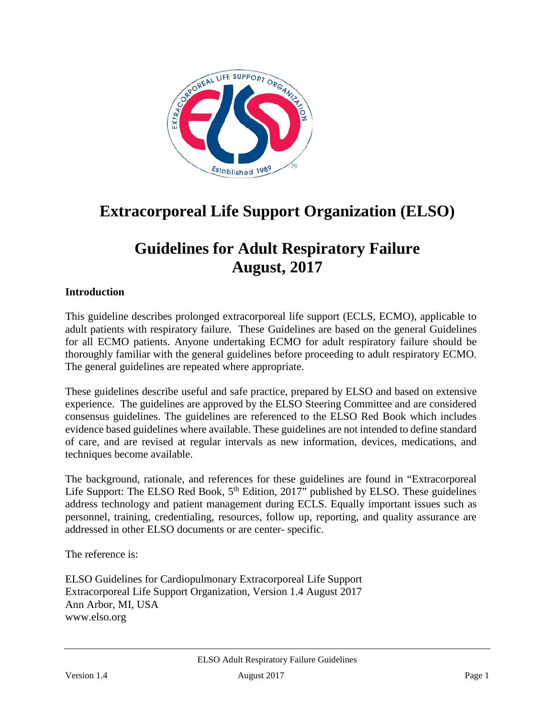

# **Extracorporeal Life Support Organization (ELSO)**

# **Guidelines for Adult Respiratory Failure August, 2017**

### **Introduction**

This guideline describes prolonged extracorporeal life support (ECLS, ECMO), applicable to adult patients with respiratory failure. These Guidelines are based on the general Guidelines for all ECMO patients. Anyone undertaking ECMO for adult respiratory failure should be thoroughly familiar with the general guidelines before proceeding to adult respiratory ECMO. The general guidelines are repeated where appropriate.

These guidelines describe useful and safe practice, prepared by ELSO and based on extensive experience. The guidelines are approved by the ELSO Steering Committee and are considered consensus guidelines. The guidelines are referenced to the ELSO Red Book which includes evidence based guidelines where available. These guidelines are not intended to define standard of care, and are revised at regular intervals as new information, devices, medications, and techniques become available.

The background, rationale, and references for these guidelines are found in "Extracorporeal Life Support: The ELSO Red Book,  $5<sup>th</sup>$  Edition, 2017" published by ELSO. These guidelines address technology and patient management during ECLS. Equally important issues such as personnel, training, credentialing, resources, follow up, reporting, and quality assurance are addressed in other ELSO documents or are center- specific.

The reference is:

ELSO Guidelines for Cardiopulmonary Extracorporeal Life Support Extracorporeal Life Support Organization, Version 1.4 August 2017 Ann Arbor, MI, USA www.elso.org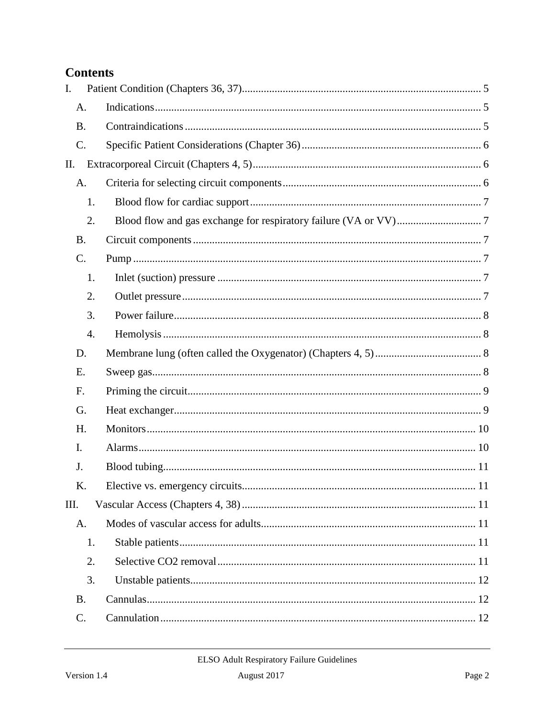# **Contents**

| I.        |    |  |
|-----------|----|--|
| A.        |    |  |
| <b>B.</b> |    |  |
| C.        |    |  |
| Π.        |    |  |
| A.        |    |  |
|           | 1. |  |
|           | 2. |  |
| <b>B.</b> |    |  |
| C.        |    |  |
|           | 1. |  |
|           | 2. |  |
|           | 3. |  |
|           | 4. |  |
| D.        |    |  |
| Ε.        |    |  |
| F.        |    |  |
| G.        |    |  |
| H.        |    |  |
| I.        |    |  |
| J.        |    |  |
| K.        |    |  |
| III.      |    |  |
| A.        |    |  |
|           | 1. |  |
|           | 2. |  |
|           | 3. |  |
| <b>B.</b> |    |  |
| C.        |    |  |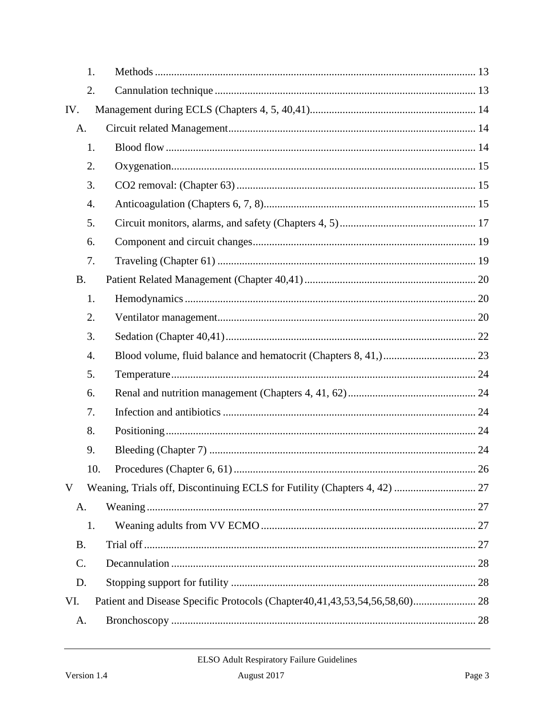|           | 1.  |                                                                            |  |
|-----------|-----|----------------------------------------------------------------------------|--|
|           | 2.  |                                                                            |  |
| IV.       |     |                                                                            |  |
| A.        |     |                                                                            |  |
|           | 1.  |                                                                            |  |
|           | 2.  |                                                                            |  |
|           | 3.  |                                                                            |  |
|           | 4.  |                                                                            |  |
|           | 5.  |                                                                            |  |
|           | 6.  |                                                                            |  |
|           | 7.  |                                                                            |  |
| <b>B.</b> |     |                                                                            |  |
|           | 1.  |                                                                            |  |
|           | 2.  |                                                                            |  |
|           | 3.  |                                                                            |  |
|           | 4.  |                                                                            |  |
|           | 5.  |                                                                            |  |
|           | 6.  |                                                                            |  |
|           | 7.  |                                                                            |  |
|           | 8.  |                                                                            |  |
|           | 9.  |                                                                            |  |
|           | 10. |                                                                            |  |
| V         |     |                                                                            |  |
| A.        |     |                                                                            |  |
|           | 1.  |                                                                            |  |
| <b>B.</b> |     |                                                                            |  |
| C.        |     |                                                                            |  |
| D.        |     |                                                                            |  |
| VI.       |     | Patient and Disease Specific Protocols (Chapter40,41,43,53,54,56,58,60) 28 |  |
| A.        |     |                                                                            |  |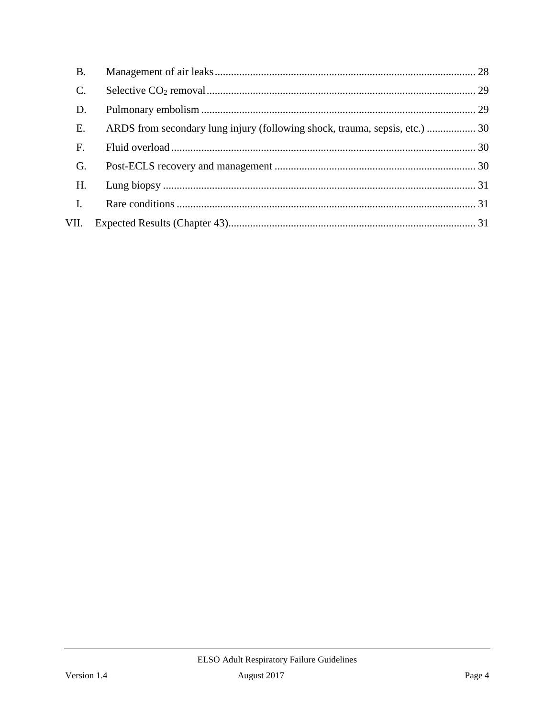| <b>B.</b> |                                                                             |  |
|-----------|-----------------------------------------------------------------------------|--|
|           |                                                                             |  |
| D.        |                                                                             |  |
| E.        | ARDS from secondary lung injury (following shock, trauma, sepsis, etc.)  30 |  |
| F.        |                                                                             |  |
| G.        |                                                                             |  |
| H.        |                                                                             |  |
| I.        |                                                                             |  |
| VII.      |                                                                             |  |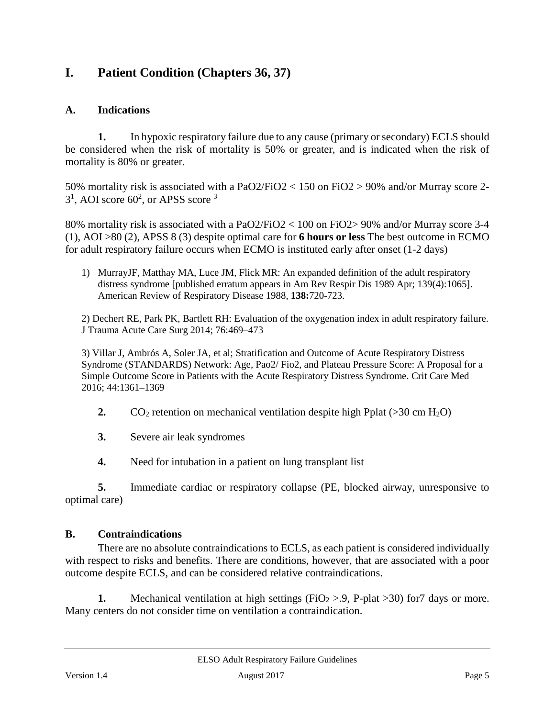# <span id="page-4-0"></span>**I. Patient Condition (Chapters 36, 37)**

# <span id="page-4-1"></span>**A. Indications**

**1.** In hypoxic respiratory failure due to any cause (primary or secondary) ECLS should be considered when the risk of mortality is 50% or greater, and is indicated when the risk of mortality is 80% or greater.

50% mortality risk is associated with a PaO2/FiO2 < 150 on FiO2 > 90% and/or Murray score 2-  $3<sup>1</sup>$ , AOI score  $60<sup>2</sup>$ , or APSS score  $3$ 

80% mortality risk is associated with a PaO2/FiO2 < 100 on FiO2> 90% and/or Murray score 3-4 (1), AOI >80 (2), APSS 8 (3) despite optimal care for **6 hours or less** The best outcome in ECMO for adult respiratory failure occurs when ECMO is instituted early after onset (1-2 days)

1) MurrayJF, Matthay MA, Luce JM, Flick MR: An expanded definition of the adult respiratory distress syndrome [published erratum appears in Am Rev Respir Dis 1989 Apr; 139(4):1065]. American Review of Respiratory Disease 1988, **138:**720-723.

2) Dechert RE, Park PK, Bartlett RH: Evaluation of the oxygenation index in adult respiratory failure. J Trauma Acute Care Surg 2014; 76:469–473

3) Villar J, Ambrós A, Soler JA, et al; Stratification and Outcome of Acute Respiratory Distress Syndrome (STANDARDS) Network: Age, Pao2/ Fio2, and Plateau Pressure Score: A Proposal for a Simple Outcome Score in Patients with the Acute Respiratory Distress Syndrome. Crit Care Med 2016; 44:1361–1369

- **2.** CO<sub>2</sub> retention on mechanical ventilation despite high Pplat ( $>30$  cm H<sub>2</sub>O)
- **3.** Severe air leak syndromes
- **4.** Need for intubation in a patient on lung transplant list

**5.** Immediate cardiac or respiratory collapse (PE, blocked airway, unresponsive to optimal care)

# <span id="page-4-2"></span>**B. Contraindications**

There are no absolute contraindications to ECLS, as each patient is considered individually with respect to risks and benefits. There are conditions, however, that are associated with a poor outcome despite ECLS, and can be considered relative contraindications.

**1.** Mechanical ventilation at high settings (FiO<sub>2</sub> > 9, P-plat > 30) for 7 days or more. Many centers do not consider time on ventilation a contraindication.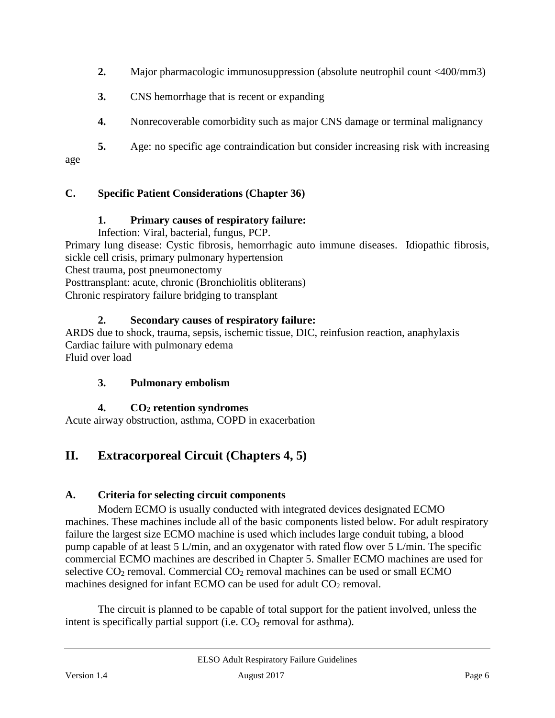- **2.** Major pharmacologic immunosuppression (absolute neutrophil count <400/mm3)
- **3.** CNS hemorrhage that is recent or expanding
- **4.** Nonrecoverable comorbidity such as major CNS damage or terminal malignancy

**5.** Age: no specific age contraindication but consider increasing risk with increasing age

# <span id="page-5-0"></span>**C. Specific Patient Considerations (Chapter 36)**

### **1. Primary causes of respiratory failure:**

Infection: Viral, bacterial, fungus, PCP.

Primary lung disease: Cystic fibrosis, hemorrhagic auto immune diseases. Idiopathic fibrosis, sickle cell crisis, primary pulmonary hypertension

Chest trauma, post pneumonectomy

Posttransplant: acute, chronic (Bronchiolitis obliterans)

Chronic respiratory failure bridging to transplant

#### **2. Secondary causes of respiratory failure:**

ARDS due to shock, trauma, sepsis, ischemic tissue, DIC, reinfusion reaction, anaphylaxis Cardiac failure with pulmonary edema Fluid over load

#### **3. Pulmonary embolism**

#### **4. CO2 retention syndromes**

<span id="page-5-1"></span>Acute airway obstruction, asthma, COPD in exacerbation

# **II. Extracorporeal Circuit (Chapters 4, 5)**

#### <span id="page-5-2"></span>**A. Criteria for selecting circuit components**

Modern ECMO is usually conducted with integrated devices designated ECMO machines. These machines include all of the basic components listed below. For adult respiratory failure the largest size ECMO machine is used which includes large conduit tubing, a blood pump capable of at least 5 L/min, and an oxygenator with rated flow over 5 L/min. The specific commercial ECMO machines are described in Chapter 5. Smaller ECMO machines are used for selective  $CO<sub>2</sub>$  removal. Commercial  $CO<sub>2</sub>$  removal machines can be used or small ECMO machines designed for infant ECMO can be used for adult  $CO<sub>2</sub>$  removal.

The circuit is planned to be capable of total support for the patient involved, unless the intent is specifically partial support (i.e.  $CO<sub>2</sub>$  removal for asthma).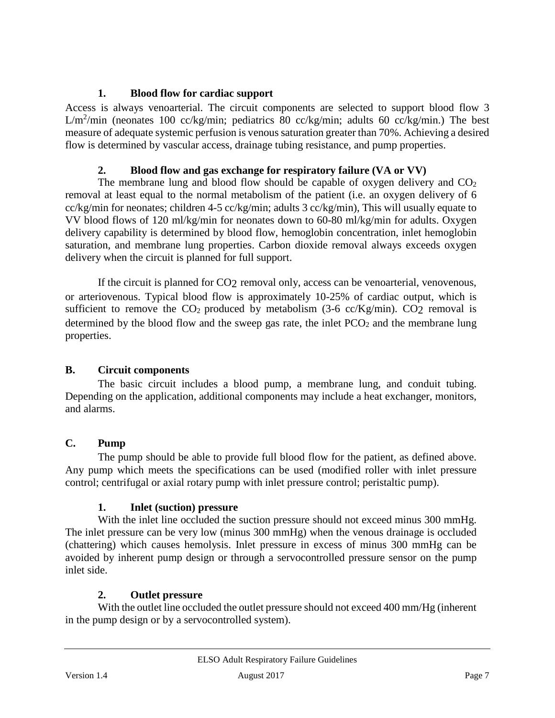# **1. Blood flow for cardiac support**

<span id="page-6-0"></span>Access is always venoarterial. The circuit components are selected to support blood flow 3 L/m<sup>2</sup>/min (neonates 100 cc/kg/min; pediatrics 80 cc/kg/min; adults 60 cc/kg/min.) The best measure of adequate systemic perfusion is venoussaturation greater than 70%. Achieving a desired flow is determined by vascular access, drainage tubing resistance, and pump properties.

# **2. Blood flow and gas exchange for respiratory failure (VA or VV)**

<span id="page-6-1"></span>The membrane lung and blood flow should be capable of oxygen delivery and  $CO<sub>2</sub>$ removal at least equal to the normal metabolism of the patient (i.e. an oxygen delivery of 6 cc/kg/min for neonates; children 4-5 cc/kg/min; adults 3 cc/kg/min), This will usually equate to VV blood flows of 120 ml/kg/min for neonates down to 60-80 ml/kg/min for adults. Oxygen delivery capability is determined by blood flow, hemoglobin concentration, inlet hemoglobin saturation, and membrane lung properties. Carbon dioxide removal always exceeds oxygen delivery when the circuit is planned for full support.

If the circuit is planned for CO2 removal only, access can be venoarterial, venovenous, or arteriovenous. Typical blood flow is approximately 10-25% of cardiac output, which is sufficient to remove the  $CO_2$  produced by metabolism (3-6 cc/Kg/min).  $CO_2$  removal is determined by the blood flow and the sweep gas rate, the inlet  $PCO<sub>2</sub>$  and the membrane lung properties.

# <span id="page-6-2"></span>**B. Circuit components**

The basic circuit includes a blood pump, a membrane lung, and conduit tubing. Depending on the application, additional components may include a heat exchanger, monitors, and alarms.

# <span id="page-6-3"></span>**C. Pump**

The pump should be able to provide full blood flow for the patient, as defined above. Any pump which meets the specifications can be used (modified roller with inlet pressure control; centrifugal or axial rotary pump with inlet pressure control; peristaltic pump).

# **1. Inlet (suction) pressure**

<span id="page-6-4"></span>With the inlet line occluded the suction pressure should not exceed minus 300 mmHg. The inlet pressure can be very low (minus 300 mmHg) when the venous drainage is occluded (chattering) which causes hemolysis. Inlet pressure in excess of minus 300 mmHg can be avoided by inherent pump design or through a servocontrolled pressure sensor on the pump inlet side.

# **2. Outlet pressure**

<span id="page-6-5"></span>With the outlet line occluded the outlet pressure should not exceed 400 mm/Hg (inherent in the pump design or by a servocontrolled system).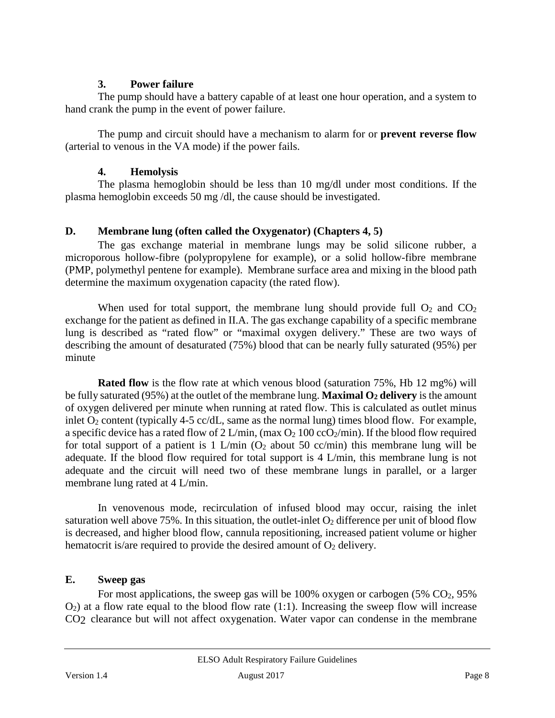#### **3. Power failure**

<span id="page-7-0"></span>The pump should have a battery capable of at least one hour operation, and a system to hand crank the pump in the event of power failure.

The pump and circuit should have a mechanism to alarm for or **prevent reverse flow** (arterial to venous in the VA mode) if the power fails.

### **4. Hemolysis**

<span id="page-7-1"></span>The plasma hemoglobin should be less than 10 mg/dl under most conditions. If the plasma hemoglobin exceeds 50 mg /dl, the cause should be investigated.

# <span id="page-7-2"></span>**D. Membrane lung (often called the Oxygenator) (Chapters 4, 5)**

The gas exchange material in membrane lungs may be solid silicone rubber, a microporous hollow-fibre (polypropylene for example), or a solid hollow-fibre membrane (PMP, polymethyl pentene for example). Membrane surface area and mixing in the blood path determine the maximum oxygenation capacity (the rated flow).

When used for total support, the membrane lung should provide full  $O_2$  and  $CO_2$ exchange for the patient as defined in II.A. The gas exchange capability of a specific membrane lung is described as "rated flow" or "maximal oxygen delivery." These are two ways of describing the amount of desaturated (75%) blood that can be nearly fully saturated (95%) per minute

**Rated flow** is the flow rate at which venous blood (saturation 75%, Hb 12 mg%) will be fully saturated (95%) at the outlet of the membrane lung. **Maximal O2 delivery** is the amount of oxygen delivered per minute when running at rated flow. This is calculated as outlet minus inlet  $O_2$  content (typically 4-5 cc/dL, same as the normal lung) times blood flow. For example, a specific device has a rated flow of 2 L/min, (max  $O_2$  100 cc $O_2$ /min). If the blood flow required for total support of a patient is 1 L/min  $(O_2$  about 50 cc/min) this membrane lung will be adequate. If the blood flow required for total support is 4 L/min, this membrane lung is not adequate and the circuit will need two of these membrane lungs in parallel, or a larger membrane lung rated at 4 L/min.

In venovenous mode, recirculation of infused blood may occur, raising the inlet saturation well above 75%. In this situation, the outlet-inlet  $O_2$  difference per unit of blood flow is decreased, and higher blood flow, cannula repositioning, increased patient volume or higher hematocrit is/are required to provide the desired amount of  $O_2$  delivery.

# <span id="page-7-3"></span>**E. Sweep gas**

For most applications, the sweep gas will be  $100\%$  oxygen or carbogen (5% CO<sub>2</sub>, 95%)  $O_2$ ) at a flow rate equal to the blood flow rate (1:1). Increasing the sweep flow will increase CO2 clearance but will not affect oxygenation. Water vapor can condense in the membrane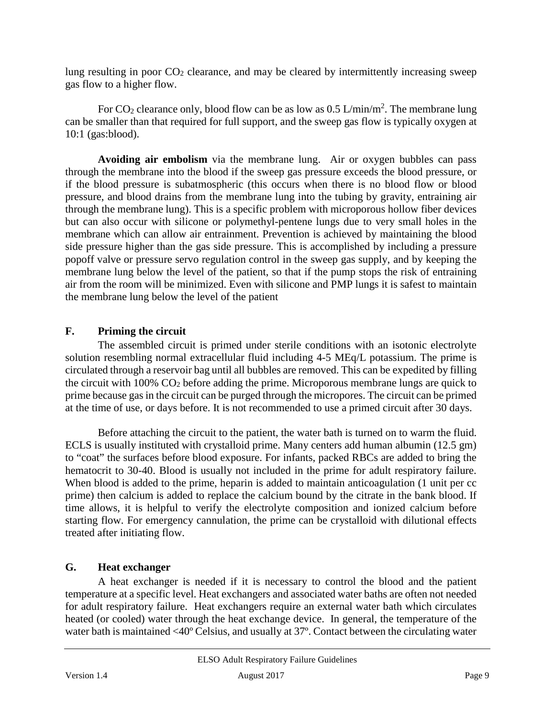lung resulting in poor  $CO<sub>2</sub>$  clearance, and may be cleared by intermittently increasing sweep gas flow to a higher flow.

For CO<sub>2</sub> clearance only, blood flow can be as low as  $0.5 \text{ L/min/m}^2$ . The membrane lung can be smaller than that required for full support, and the sweep gas flow is typically oxygen at 10:1 (gas:blood).

**Avoiding air embolism** via the membrane lung. Air or oxygen bubbles can pass through the membrane into the blood if the sweep gas pressure exceeds the blood pressure, or if the blood pressure is subatmospheric (this occurs when there is no blood flow or blood pressure, and blood drains from the membrane lung into the tubing by gravity, entraining air through the membrane lung). This is a specific problem with microporous hollow fiber devices but can also occur with silicone or polymethyl-pentene lungs due to very small holes in the membrane which can allow air entrainment. Prevention is achieved by maintaining the blood side pressure higher than the gas side pressure. This is accomplished by including a pressure popoff valve or pressure servo regulation control in the sweep gas supply, and by keeping the membrane lung below the level of the patient, so that if the pump stops the risk of entraining air from the room will be minimized. Even with silicone and PMP lungs it is safest to maintain the membrane lung below the level of the patient

### <span id="page-8-0"></span>**F. Priming the circuit**

The assembled circuit is primed under sterile conditions with an isotonic electrolyte solution resembling normal extracellular fluid including 4-5 MEq/L potassium. The prime is circulated through a reservoir bag until all bubbles are removed. This can be expedited by filling the circuit with  $100\%$  CO<sub>2</sub> before adding the prime. Microporous membrane lungs are quick to prime because gas in the circuit can be purged through the micropores. The circuit can be primed at the time of use, or days before. It is not recommended to use a primed circuit after 30 days.

Before attaching the circuit to the patient, the water bath is turned on to warm the fluid. ECLS is usually instituted with crystalloid prime. Many centers add human albumin (12.5 gm) to "coat" the surfaces before blood exposure. For infants, packed RBCs are added to bring the hematocrit to 30-40. Blood is usually not included in the prime for adult respiratory failure. When blood is added to the prime, heparin is added to maintain anticoagulation (1 unit per cc prime) then calcium is added to replace the calcium bound by the citrate in the bank blood. If time allows, it is helpful to verify the electrolyte composition and ionized calcium before starting flow. For emergency cannulation, the prime can be crystalloid with dilutional effects treated after initiating flow.

#### <span id="page-8-1"></span>**G. Heat exchanger**

A heat exchanger is needed if it is necessary to control the blood and the patient temperature at a specific level. Heat exchangers and associated water baths are often not needed for adult respiratory failure. Heat exchangers require an external water bath which circulates heated (or cooled) water through the heat exchange device. In general, the temperature of the water bath is maintained <40º Celsius, and usually at 37º. Contact between the circulating water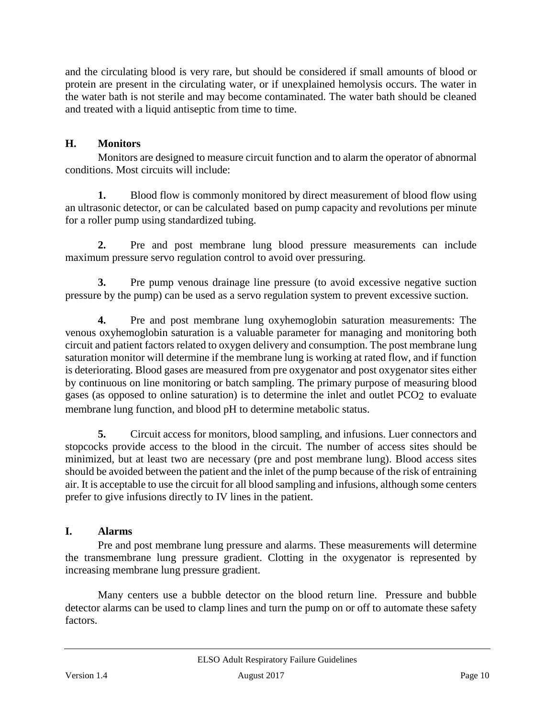and the circulating blood is very rare, but should be considered if small amounts of blood or protein are present in the circulating water, or if unexplained hemolysis occurs. The water in the water bath is not sterile and may become contaminated. The water bath should be cleaned and treated with a liquid antiseptic from time to time.

# <span id="page-9-0"></span>**H. Monitors**

Monitors are designed to measure circuit function and to alarm the operator of abnormal conditions. Most circuits will include:

**1.** Blood flow is commonly monitored by direct measurement of blood flow using an ultrasonic detector, or can be calculated based on pump capacity and revolutions per minute for a roller pump using standardized tubing.

**2.** Pre and post membrane lung blood pressure measurements can include maximum pressure servo regulation control to avoid over pressuring.

**3.** Pre pump venous drainage line pressure (to avoid excessive negative suction pressure by the pump) can be used as a servo regulation system to prevent excessive suction.

**4.** Pre and post membrane lung oxyhemoglobin saturation measurements: The venous oxyhemoglobin saturation is a valuable parameter for managing and monitoring both circuit and patient factors related to oxygen delivery and consumption. The post membrane lung saturation monitor will determine if the membrane lung is working at rated flow, and if function is deteriorating. Blood gases are measured from pre oxygenator and post oxygenator sites either by continuous on line monitoring or batch sampling. The primary purpose of measuring blood gases (as opposed to online saturation) is to determine the inlet and outlet PCO2 to evaluate membrane lung function, and blood pH to determine metabolic status.

**5.** Circuit access for monitors, blood sampling, and infusions. Luer connectors and stopcocks provide access to the blood in the circuit. The number of access sites should be minimized, but at least two are necessary (pre and post membrane lung). Blood access sites should be avoided between the patient and the inlet of the pump because of the risk of entraining air. It is acceptable to use the circuit for all blood sampling and infusions, although some centers prefer to give infusions directly to IV lines in the patient.

# <span id="page-9-1"></span>**I. Alarms**

Pre and post membrane lung pressure and alarms. These measurements will determine the transmembrane lung pressure gradient. Clotting in the oxygenator is represented by increasing membrane lung pressure gradient.

Many centers use a bubble detector on the blood return line. Pressure and bubble detector alarms can be used to clamp lines and turn the pump on or off to automate these safety factors.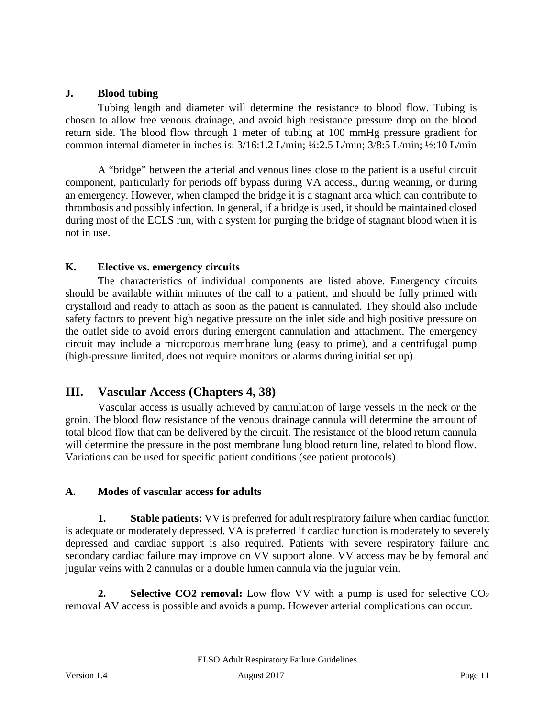### <span id="page-10-0"></span>**J. Blood tubing**

Tubing length and diameter will determine the resistance to blood flow. Tubing is chosen to allow free venous drainage, and avoid high resistance pressure drop on the blood return side. The blood flow through 1 meter of tubing at 100 mmHg pressure gradient for common internal diameter in inches is: 3/16:1.2 L/min; ¼:2.5 L/min; 3/8:5 L/min; ½:10 L/min

A "bridge" between the arterial and venous lines close to the patient is a useful circuit component, particularly for periods off bypass during VA access., during weaning, or during an emergency. However, when clamped the bridge it is a stagnant area which can contribute to thrombosis and possibly infection. In general, if a bridge is used, it should be maintained closed during most of the ECLS run, with a system for purging the bridge of stagnant blood when it is not in use.

# <span id="page-10-1"></span>**K. Elective vs. emergency circuits**

The characteristics of individual components are listed above. Emergency circuits should be available within minutes of the call to a patient, and should be fully primed with crystalloid and ready to attach as soon as the patient is cannulated. They should also include safety factors to prevent high negative pressure on the inlet side and high positive pressure on the outlet side to avoid errors during emergent cannulation and attachment. The emergency circuit may include a microporous membrane lung (easy to prime), and a centrifugal pump (high-pressure limited, does not require monitors or alarms during initial set up).

# <span id="page-10-2"></span>**III. Vascular Access (Chapters 4, 38)**

Vascular access is usually achieved by cannulation of large vessels in the neck or the groin. The blood flow resistance of the venous drainage cannula will determine the amount of total blood flow that can be delivered by the circuit. The resistance of the blood return cannula will determine the pressure in the post membrane lung blood return line, related to blood flow. Variations can be used for specific patient conditions (see patient protocols).

# <span id="page-10-3"></span>**A. Modes of vascular access for adults**

<span id="page-10-4"></span>**1. Stable patients:** VV is preferred for adult respiratory failure when cardiac function is adequate or moderately depressed. VA is preferred if cardiac function is moderately to severely depressed and cardiac support is also required. Patients with severe respiratory failure and secondary cardiac failure may improve on VV support alone. VV access may be by femoral and jugular veins with 2 cannulas or a double lumen cannula via the jugular vein.

<span id="page-10-5"></span>**2. Selective CO2 removal:** Low flow VV with a pump is used for selective CO<sub>2</sub> removal AV access is possible and avoids a pump. However arterial complications can occur.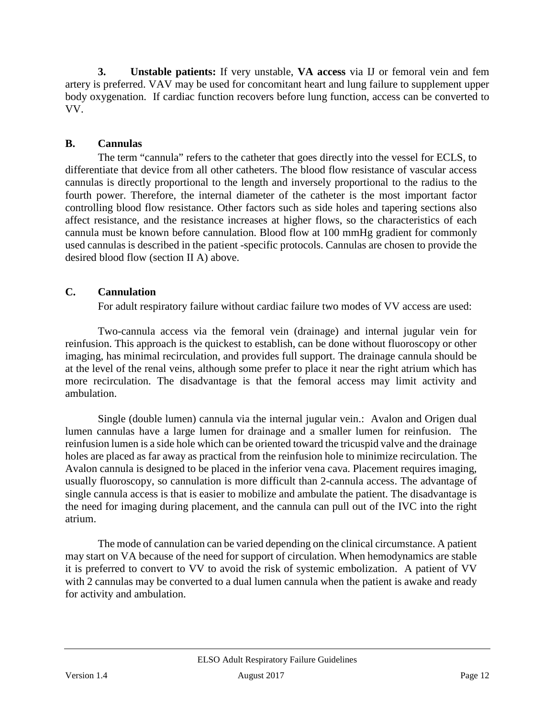<span id="page-11-0"></span>**3. Unstable patients:** If very unstable, **VA access** via IJ or femoral vein and fem artery is preferred. VAV may be used for concomitant heart and lung failure to supplement upper body oxygenation. If cardiac function recovers before lung function, access can be converted to VV.

### <span id="page-11-1"></span>**B. Cannulas**

The term "cannula" refers to the catheter that goes directly into the vessel for ECLS, to differentiate that device from all other catheters. The blood flow resistance of vascular access cannulas is directly proportional to the length and inversely proportional to the radius to the fourth power. Therefore, the internal diameter of the catheter is the most important factor controlling blood flow resistance. Other factors such as side holes and tapering sections also affect resistance, and the resistance increases at higher flows, so the characteristics of each cannula must be known before cannulation. Blood flow at 100 mmHg gradient for commonly used cannulas is described in the patient -specific protocols. Cannulas are chosen to provide the desired blood flow (section II A) above.

# <span id="page-11-2"></span>**C. Cannulation**

For adult respiratory failure without cardiac failure two modes of VV access are used:

Two-cannula access via the femoral vein (drainage) and internal jugular vein for reinfusion. This approach is the quickest to establish, can be done without fluoroscopy or other imaging, has minimal recirculation, and provides full support. The drainage cannula should be at the level of the renal veins, although some prefer to place it near the right atrium which has more recirculation. The disadvantage is that the femoral access may limit activity and ambulation.

Single (double lumen) cannula via the internal jugular vein.: Avalon and Origen dual lumen cannulas have a large lumen for drainage and a smaller lumen for reinfusion. The reinfusion lumen is a side hole which can be oriented toward the tricuspid valve and the drainage holes are placed as far away as practical from the reinfusion hole to minimize recirculation. The Avalon cannula is designed to be placed in the inferior vena cava. Placement requires imaging, usually fluoroscopy, so cannulation is more difficult than 2-cannula access. The advantage of single cannula access is that is easier to mobilize and ambulate the patient. The disadvantage is the need for imaging during placement, and the cannula can pull out of the IVC into the right atrium.

The mode of cannulation can be varied depending on the clinical circumstance. A patient may start on VA because of the need for support of circulation. When hemodynamics are stable it is preferred to convert to VV to avoid the risk of systemic embolization. A patient of VV with 2 cannulas may be converted to a dual lumen cannula when the patient is awake and ready for activity and ambulation.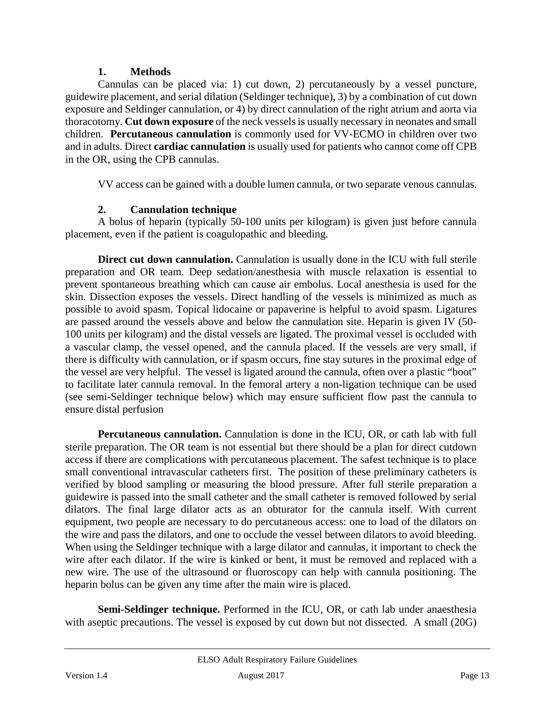#### **1. Methods**

<span id="page-12-0"></span>Cannulas can be placed via: 1) cut down, 2) percutaneously by a vessel puncture, guidewire placement, and serial dilation (Seldinger technique), 3) by a combination of cut down exposure and Seldinger cannulation, or 4) by direct cannulation of the right atrium and aorta via thoracotomy. **Cut down exposure** of the neck vessels is usually necessary in neonates and small children. **Percutaneous cannulation** is commonly used for VV-ECMO in children over two and in adults. Direct **cardiac cannulation** is usually used for patients who cannot come off CPB in the OR, using the CPB cannulas.

VV access can be gained with a double lumen cannula, or two separate venous cannulas.

# **2. Cannulation technique**

<span id="page-12-1"></span>A bolus of heparin (typically 50-100 units per kilogram) is given just before cannula placement, even if the patient is coagulopathic and bleeding.

**Direct cut down cannulation.** Cannulation is usually done in the ICU with full sterile preparation and OR team. Deep sedation/anesthesia with muscle relaxation is essential to prevent spontaneous breathing which can cause air embolus. Local anesthesia is used for the skin. Dissection exposes the vessels. Direct handling of the vessels is minimized as much as possible to avoid spasm. Topical lidocaine or papaverine is helpful to avoid spasm. Ligatures are passed around the vessels above and below the cannulation site. Heparin is given IV (50- 100 units per kilogram) and the distal vessels are ligated. The proximal vessel is occluded with a vascular clamp, the vessel opened, and the cannula placed. If the vessels are very small, if there is difficulty with cannulation, or if spasm occurs, fine stay sutures in the proximal edge of the vessel are very helpful. The vessel is ligated around the cannula, often over a plastic "boot" to facilitate later cannula removal. In the femoral artery a non-ligation technique can be used (see semi-Seldinger technique below) which may ensure sufficient flow past the cannula to ensure distal perfusion

**Percutaneous cannulation.** Cannulation is done in the ICU, OR, or cath lab with full sterile preparation. The OR team is not essential but there should be a plan for direct cutdown access if there are complications with percutaneous placement. The safest technique is to place small conventional intravascular catheters first. The position of these preliminary catheters is verified by blood sampling or measuring the blood pressure. After full sterile preparation a guidewire is passed into the small catheter and the small catheter is removed followed by serial dilators. The final large dilator acts as an obturator for the cannula itself. With current equipment, two people are necessary to do percutaneous access: one to load of the dilators on the wire and pass the dilators, and one to occlude the vessel between dilators to avoid bleeding. When using the Seldinger technique with a large dilator and cannulas, it important to check the wire after each dilator. If the wire is kinked or bent, it must be removed and replaced with a new wire. The use of the ultrasound or fluoroscopy can help with cannula positioning. The heparin bolus can be given any time after the main wire is placed.

**Semi-Seldinger technique.** Performed in the ICU, OR, or cath lab under anaesthesia with aseptic precautions. The vessel is exposed by cut down but not dissected. A small (20G)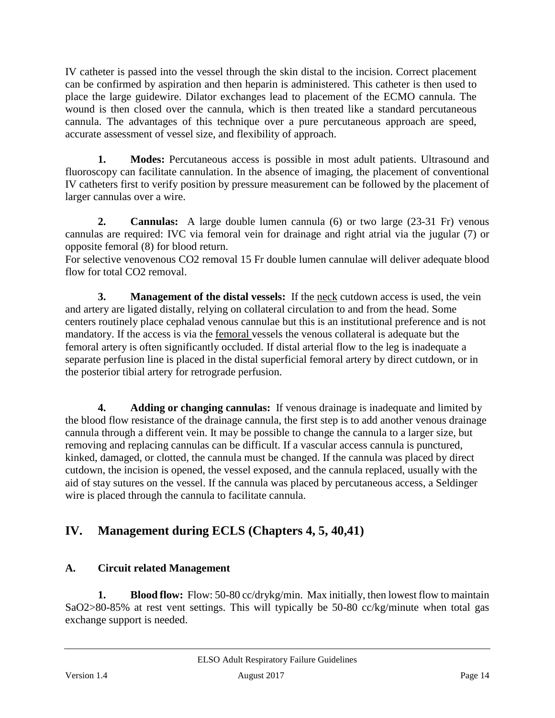IV catheter is passed into the vessel through the skin distal to the incision. Correct placement can be confirmed by aspiration and then heparin is administered. This catheter is then used to place the large guidewire. Dilator exchanges lead to placement of the ECMO cannula. The wound is then closed over the cannula, which is then treated like a standard percutaneous cannula. The advantages of this technique over a pure percutaneous approach are speed, accurate assessment of vessel size, and flexibility of approach.

**1. Modes:** Percutaneous access is possible in most adult patients. Ultrasound and fluoroscopy can facilitate cannulation. In the absence of imaging, the placement of conventional IV catheters first to verify position by pressure measurement can be followed by the placement of larger cannulas over a wire.

**2. Cannulas:** A large double lumen cannula (6) or two large (23-31 Fr) venous cannulas are required: IVC via femoral vein for drainage and right atrial via the jugular (7) or opposite femoral (8) for blood return.

For selective venovenous CO2 removal 15 Fr double lumen cannulae will deliver adequate blood flow for total CO<sub>2</sub> removal.

**3. Management of the distal vessels:** If the <u>neck</u> cutdown access is used, the vein and artery are ligated distally, relying on collateral circulation to and from the head. Some centers routinely place cephalad venous cannulae but this is an institutional preference and is not mandatory. If the access is via the femoral vessels the venous collateral is adequate but the femoral artery is often significantly occluded. If distal arterial flow to the leg is inadequate a separate perfusion line is placed in the distal superficial femoral artery by direct cutdown, or in the posterior tibial artery for retrograde perfusion.

**4. Adding or changing cannulas:** If venous drainage is inadequate and limited by the blood flow resistance of the drainage cannula, the first step is to add another venous drainage cannula through a different vein. It may be possible to change the cannula to a larger size, but removing and replacing cannulas can be difficult. If a vascular access cannula is punctured, kinked, damaged, or clotted, the cannula must be changed. If the cannula was placed by direct cutdown, the incision is opened, the vessel exposed, and the cannula replaced, usually with the aid of stay sutures on the vessel. If the cannula was placed by percutaneous access, a Seldinger wire is placed through the cannula to facilitate cannula.

# <span id="page-13-0"></span>**IV. Management during ECLS (Chapters 4, 5, 40,41)**

# <span id="page-13-1"></span>**A. Circuit related Management**

<span id="page-13-2"></span>**1. Blood flow:** Flow: 50-80 cc/drykg/min. Max initially, then lowest flow to maintain SaO2>80-85% at rest vent settings. This will typically be 50-80 cc/kg/minute when total gas exchange support is needed.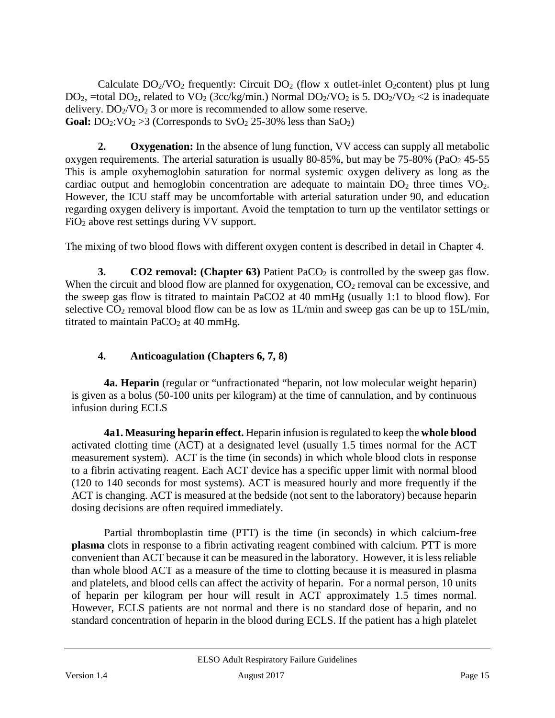Calculate  $DO_2/VO_2$  frequently: Circuit  $DO_2$  (flow x outlet-inlet O<sub>2</sub>content) plus pt lung DO<sub>2</sub>, =total DO<sub>2</sub>, related to VO<sub>2</sub> (3cc/kg/min.) Normal DO<sub>2</sub>/VO<sub>2</sub> is 5. DO<sub>2</sub>/VO<sub>2</sub> <2 is inadequate delivery.  $DO<sub>2</sub>/VO<sub>2</sub>$  3 or more is recommended to allow some reserve. **Goal:**  $DO_2: VO_2 > 3$  (Corresponds to  $SVO_2$  25-30% less than  $SaO_2$ )

<span id="page-14-0"></span>**2. Oxygenation:** In the absence of lung function, VV access can supply all metabolic oxygen requirements. The arterial saturation is usually 80-85%, but may be  $75-80\%$  (PaO<sub>2</sub> 45-55) This is ample oxyhemoglobin saturation for normal systemic oxygen delivery as long as the cardiac output and hemoglobin concentration are adequate to maintain  $DO<sub>2</sub>$  three times  $VO<sub>2</sub>$ . However, the ICU staff may be uncomfortable with arterial saturation under 90, and education regarding oxygen delivery is important. Avoid the temptation to turn up the ventilator settings or FiO2 above rest settings during VV support.

The mixing of two blood flows with different oxygen content is described in detail in Chapter 4.

<span id="page-14-1"></span>**3. CO2 removal: (Chapter 63)** Patient PaCO<sub>2</sub> is controlled by the sweep gas flow. When the circuit and blood flow are planned for oxygenation,  $CO<sub>2</sub>$  removal can be excessive, and the sweep gas flow is titrated to maintain PaCO2 at 40 mmHg (usually 1:1 to blood flow). For selective  $CO_2$  removal blood flow can be as low as 1L/min and sweep gas can be up to 15L/min, titrated to maintain  $PaCO<sub>2</sub>$  at 40 mmHg.

# <span id="page-14-2"></span>**4. Anticoagulation (Chapters 6, 7, 8)**

**4a. Heparin** (regular or "unfractionated "heparin, not low molecular weight heparin) is given as a bolus (50-100 units per kilogram) at the time of cannulation, and by continuous infusion during ECLS

**4a1. Measuring heparin effect.** Heparin infusion is regulated to keep the **whole blood**  activated clotting time (ACT) at a designated level (usually 1.5 times normal for the ACT measurement system). ACT is the time (in seconds) in which whole blood clots in response to a fibrin activating reagent. Each ACT device has a specific upper limit with normal blood (120 to 140 seconds for most systems). ACT is measured hourly and more frequently if the ACT is changing. ACT is measured at the bedside (not sent to the laboratory) because heparin dosing decisions are often required immediately.

Partial thromboplastin time (PTT) is the time (in seconds) in which calcium-free **plasma** clots in response to a fibrin activating reagent combined with calcium. PTT is more convenient than ACT because it can be measured in the laboratory. However, it is less reliable than whole blood ACT as a measure of the time to clotting because it is measured in plasma and platelets, and blood cells can affect the activity of heparin. For a normal person, 10 units of heparin per kilogram per hour will result in ACT approximately 1.5 times normal. However, ECLS patients are not normal and there is no standard dose of heparin, and no standard concentration of heparin in the blood during ECLS. If the patient has a high platelet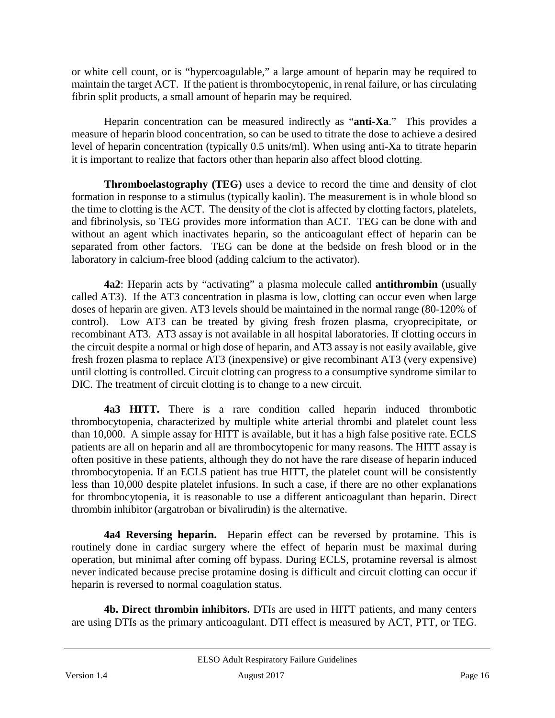or white cell count, or is "hypercoagulable," a large amount of heparin may be required to maintain the target ACT. If the patient is thrombocytopenic, in renal failure, or has circulating fibrin split products, a small amount of heparin may be required.

Heparin concentration can be measured indirectly as "**anti-Xa**." This provides a measure of heparin blood concentration, so can be used to titrate the dose to achieve a desired level of heparin concentration (typically 0.5 units/ml). When using anti-Xa to titrate heparin it is important to realize that factors other than heparin also affect blood clotting.

**Thromboelastography (TEG)** uses a device to record the time and density of clot formation in response to a stimulus (typically kaolin). The measurement is in whole blood so the time to clotting is the ACT. The density of the clot is affected by clotting factors, platelets, and fibrinolysis, so TEG provides more information than ACT. TEG can be done with and without an agent which inactivates heparin, so the anticoagulant effect of heparin can be separated from other factors. TEG can be done at the bedside on fresh blood or in the laboratory in calcium-free blood (adding calcium to the activator).

**4a2**: Heparin acts by "activating" a plasma molecule called **antithrombin** (usually called AT3). If the AT3 concentration in plasma is low, clotting can occur even when large doses of heparin are given. AT3 levels should be maintained in the normal range (80-120% of control). Low AT3 can be treated by giving fresh frozen plasma, cryoprecipitate, or recombinant AT3. AT3 assay is not available in all hospital laboratories. If clotting occurs in the circuit despite a normal or high dose of heparin, and AT3 assay is not easily available, give fresh frozen plasma to replace AT3 (inexpensive) or give recombinant AT3 (very expensive) until clotting is controlled. Circuit clotting can progress to a consumptive syndrome similar to DIC. The treatment of circuit clotting is to change to a new circuit.

**4a3 HITT.** There is a rare condition called heparin induced thrombotic thrombocytopenia, characterized by multiple white arterial thrombi and platelet count less than 10,000. A simple assay for HITT is available, but it has a high false positive rate. ECLS patients are all on heparin and all are thrombocytopenic for many reasons. The HITT assay is often positive in these patients, although they do not have the rare disease of heparin induced thrombocytopenia. If an ECLS patient has true HITT, the platelet count will be consistently less than 10,000 despite platelet infusions. In such a case, if there are no other explanations for thrombocytopenia, it is reasonable to use a different anticoagulant than heparin. Direct thrombin inhibitor (argatroban or bivalirudin) is the alternative.

**4a4 Reversing heparin.** Heparin effect can be reversed by protamine. This is routinely done in cardiac surgery where the effect of heparin must be maximal during operation, but minimal after coming off bypass. During ECLS, protamine reversal is almost never indicated because precise protamine dosing is difficult and circuit clotting can occur if heparin is reversed to normal coagulation status.

**4b. Direct thrombin inhibitors.** DTIs are used in HITT patients, and many centers are using DTIs as the primary anticoagulant. DTI effect is measured by ACT, PTT, or TEG.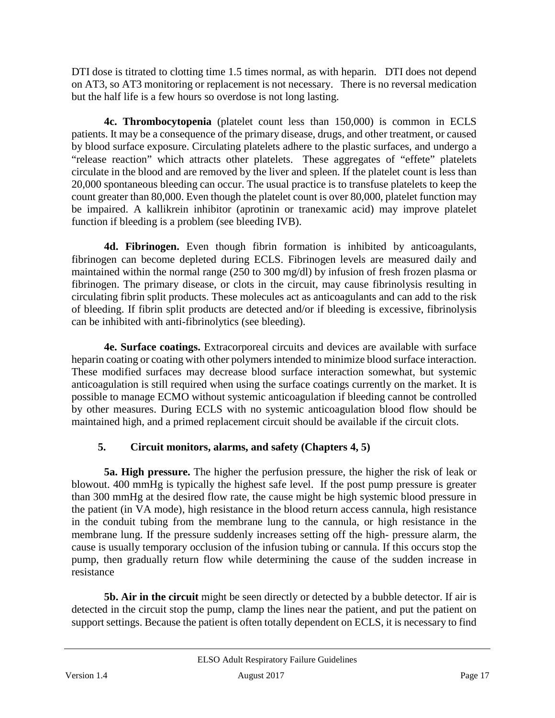DTI dose is titrated to clotting time 1.5 times normal, as with heparin. DTI does not depend on AT3, so AT3 monitoring or replacement is not necessary. There is no reversal medication but the half life is a few hours so overdose is not long lasting.

**4c. Thrombocytopenia** (platelet count less than 150,000) is common in ECLS patients. It may be a consequence of the primary disease, drugs, and other treatment, or caused by blood surface exposure. Circulating platelets adhere to the plastic surfaces, and undergo a "release reaction" which attracts other platelets. These aggregates of "effete" platelets circulate in the blood and are removed by the liver and spleen. If the platelet count is less than 20,000 spontaneous bleeding can occur. The usual practice is to transfuse platelets to keep the count greater than 80,000. Even though the platelet count is over 80,000, platelet function may be impaired. A kallikrein inhibitor (aprotinin or tranexamic acid) may improve platelet function if bleeding is a problem (see bleeding IVB).

**4d. Fibrinogen.** Even though fibrin formation is inhibited by anticoagulants, fibrinogen can become depleted during ECLS. Fibrinogen levels are measured daily and maintained within the normal range (250 to 300 mg/dl) by infusion of fresh frozen plasma or fibrinogen. The primary disease, or clots in the circuit, may cause fibrinolysis resulting in circulating fibrin split products. These molecules act as anticoagulants and can add to the risk of bleeding. If fibrin split products are detected and/or if bleeding is excessive, fibrinolysis can be inhibited with anti-fibrinolytics (see bleeding).

**4e. Surface coatings.** Extracorporeal circuits and devices are available with surface heparin coating or coating with other polymers intended to minimize blood surface interaction. These modified surfaces may decrease blood surface interaction somewhat, but systemic anticoagulation is still required when using the surface coatings currently on the market. It is possible to manage ECMO without systemic anticoagulation if bleeding cannot be controlled by other measures. During ECLS with no systemic anticoagulation blood flow should be maintained high, and a primed replacement circuit should be available if the circuit clots.

# **5. Circuit monitors, alarms, and safety (Chapters 4, 5)**

<span id="page-16-0"></span>**5a. High pressure.** The higher the perfusion pressure, the higher the risk of leak or blowout. 400 mmHg is typically the highest safe level. If the post pump pressure is greater than 300 mmHg at the desired flow rate, the cause might be high systemic blood pressure in the patient (in VA mode), high resistance in the blood return access cannula, high resistance in the conduit tubing from the membrane lung to the cannula, or high resistance in the membrane lung. If the pressure suddenly increases setting off the high- pressure alarm, the cause is usually temporary occlusion of the infusion tubing or cannula. If this occurs stop the pump, then gradually return flow while determining the cause of the sudden increase in resistance

**5b. Air in the circuit** might be seen directly or detected by a bubble detector. If air is detected in the circuit stop the pump, clamp the lines near the patient, and put the patient on support settings. Because the patient is often totally dependent on ECLS, it is necessary to find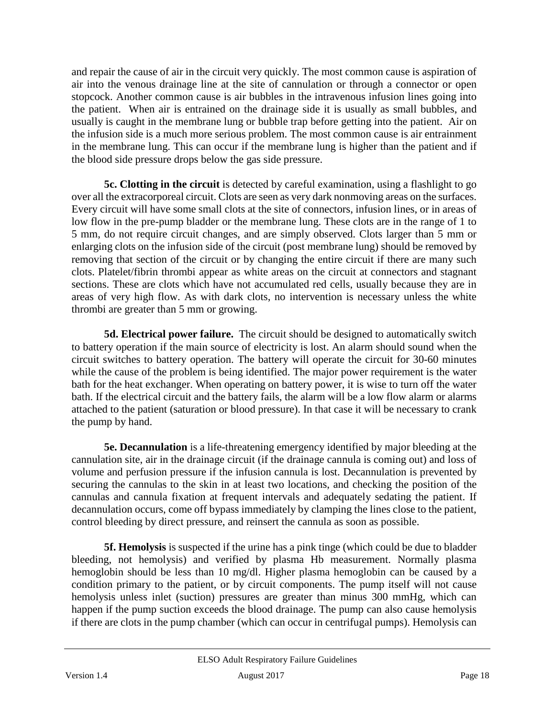and repair the cause of air in the circuit very quickly. The most common cause is aspiration of air into the venous drainage line at the site of cannulation or through a connector or open stopcock. Another common cause is air bubbles in the intravenous infusion lines going into the patient. When air is entrained on the drainage side it is usually as small bubbles, and usually is caught in the membrane lung or bubble trap before getting into the patient. Air on the infusion side is a much more serious problem. The most common cause is air entrainment in the membrane lung. This can occur if the membrane lung is higher than the patient and if the blood side pressure drops below the gas side pressure.

**5c. Clotting in the circuit** is detected by careful examination, using a flashlight to go over all the extracorporeal circuit. Clots are seen as very dark nonmoving areas on the surfaces. Every circuit will have some small clots at the site of connectors, infusion lines, or in areas of low flow in the pre-pump bladder or the membrane lung. These clots are in the range of 1 to 5 mm, do not require circuit changes, and are simply observed. Clots larger than 5 mm or enlarging clots on the infusion side of the circuit (post membrane lung) should be removed by removing that section of the circuit or by changing the entire circuit if there are many such clots. Platelet/fibrin thrombi appear as white areas on the circuit at connectors and stagnant sections. These are clots which have not accumulated red cells, usually because they are in areas of very high flow. As with dark clots, no intervention is necessary unless the white thrombi are greater than 5 mm or growing.

**5d. Electrical power failure.** The circuit should be designed to automatically switch to battery operation if the main source of electricity is lost. An alarm should sound when the circuit switches to battery operation. The battery will operate the circuit for 30-60 minutes while the cause of the problem is being identified. The major power requirement is the water bath for the heat exchanger. When operating on battery power, it is wise to turn off the water bath. If the electrical circuit and the battery fails, the alarm will be a low flow alarm or alarms attached to the patient (saturation or blood pressure). In that case it will be necessary to crank the pump by hand.

**5e. Decannulation** is a life-threatening emergency identified by major bleeding at the cannulation site, air in the drainage circuit (if the drainage cannula is coming out) and loss of volume and perfusion pressure if the infusion cannula is lost. Decannulation is prevented by securing the cannulas to the skin in at least two locations, and checking the position of the cannulas and cannula fixation at frequent intervals and adequately sedating the patient. If decannulation occurs, come off bypass immediately by clamping the lines close to the patient, control bleeding by direct pressure, and reinsert the cannula as soon as possible.

**5f. Hemolysis** is suspected if the urine has a pink tinge (which could be due to bladder bleeding, not hemolysis) and verified by plasma Hb measurement. Normally plasma hemoglobin should be less than 10 mg/dl. Higher plasma hemoglobin can be caused by a condition primary to the patient, or by circuit components. The pump itself will not cause hemolysis unless inlet (suction) pressures are greater than minus 300 mmHg, which can happen if the pump suction exceeds the blood drainage. The pump can also cause hemolysis if there are clots in the pump chamber (which can occur in centrifugal pumps). Hemolysis can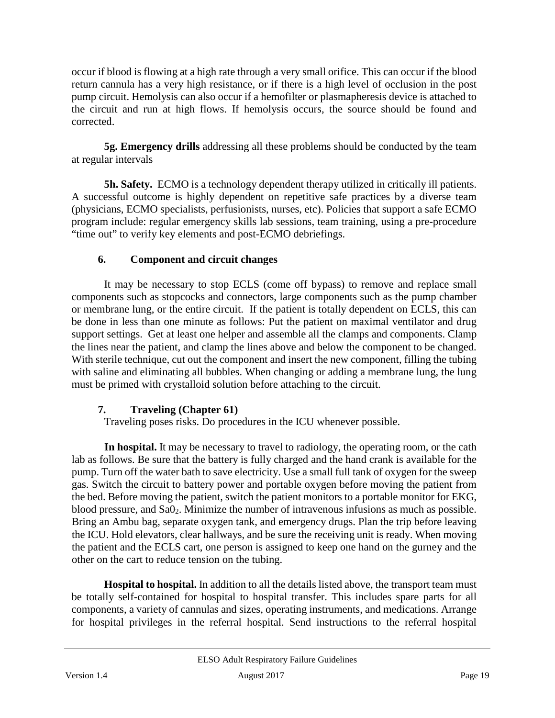occur if blood is flowing at a high rate through a very small orifice. This can occur if the blood return cannula has a very high resistance, or if there is a high level of occlusion in the post pump circuit. Hemolysis can also occur if a hemofilter or plasmapheresis device is attached to the circuit and run at high flows. If hemolysis occurs, the source should be found and corrected.

**5g. Emergency drills** addressing all these problems should be conducted by the team at regular intervals

**5h. Safety.** ECMO is a technology dependent therapy utilized in critically ill patients. A successful outcome is highly dependent on repetitive safe practices by a diverse team (physicians, ECMO specialists, perfusionists, nurses, etc). Policies that support a safe ECMO program include: regular emergency skills lab sessions, team training, using a pre-procedure "time out" to verify key elements and post-ECMO debriefings.

# **6. Component and circuit changes**

<span id="page-18-0"></span>It may be necessary to stop ECLS (come off bypass) to remove and replace small components such as stopcocks and connectors, large components such as the pump chamber or membrane lung, or the entire circuit. If the patient is totally dependent on ECLS, this can be done in less than one minute as follows: Put the patient on maximal ventilator and drug support settings. Get at least one helper and assemble all the clamps and components. Clamp the lines near the patient, and clamp the lines above and below the component to be changed. With sterile technique, cut out the component and insert the new component, filling the tubing with saline and eliminating all bubbles. When changing or adding a membrane lung, the lung must be primed with crystalloid solution before attaching to the circuit.

# <span id="page-18-1"></span>**7. Traveling (Chapter 61)**

Traveling poses risks. Do procedures in the ICU whenever possible.

**In hospital.** It may be necessary to travel to radiology, the operating room, or the cath lab as follows. Be sure that the battery is fully charged and the hand crank is available for the pump. Turn off the water bath to save electricity. Use a small full tank of oxygen for the sweep gas. Switch the circuit to battery power and portable oxygen before moving the patient from the bed. Before moving the patient, switch the patient monitors to a portable monitor for EKG, blood pressure, and Sa0<sub>2</sub>. Minimize the number of intravenous infusions as much as possible. Bring an Ambu bag, separate oxygen tank, and emergency drugs. Plan the trip before leaving the ICU. Hold elevators, clear hallways, and be sure the receiving unit is ready. When moving the patient and the ECLS cart, one person is assigned to keep one hand on the gurney and the other on the cart to reduce tension on the tubing.

**Hospital to hospital.** In addition to all the details listed above, the transport team must be totally self-contained for hospital to hospital transfer. This includes spare parts for all components, a variety of cannulas and sizes, operating instruments, and medications. Arrange for hospital privileges in the referral hospital. Send instructions to the referral hospital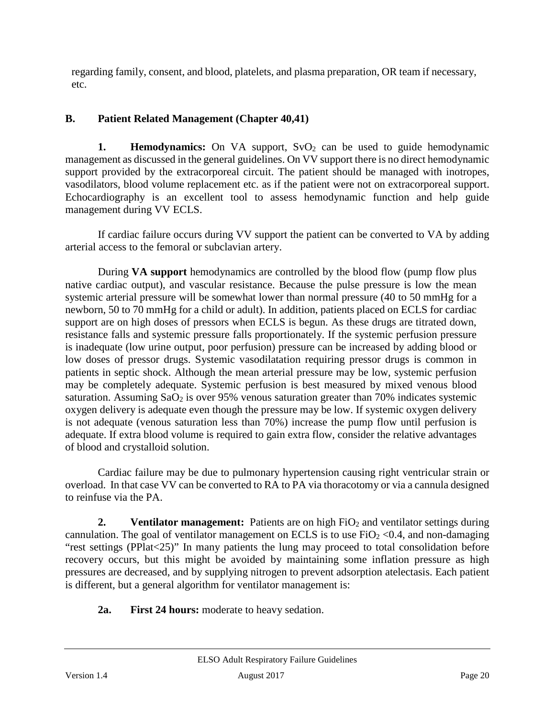regarding family, consent, and blood, platelets, and plasma preparation, OR team if necessary, etc.

### <span id="page-19-0"></span>**B. Patient Related Management (Chapter 40,41)**

<span id="page-19-1"></span>**1. Hemodynamics:** On VA support, SvO<sub>2</sub> can be used to guide hemodynamic management as discussed in the general guidelines. On VV support there is no direct hemodynamic support provided by the extracorporeal circuit. The patient should be managed with inotropes, vasodilators, blood volume replacement etc. as if the patient were not on extracorporeal support. Echocardiography is an excellent tool to assess hemodynamic function and help guide management during VV ECLS.

If cardiac failure occurs during VV support the patient can be converted to VA by adding arterial access to the femoral or subclavian artery.

During **VA support** hemodynamics are controlled by the blood flow (pump flow plus native cardiac output), and vascular resistance. Because the pulse pressure is low the mean systemic arterial pressure will be somewhat lower than normal pressure (40 to 50 mmHg for a newborn, 50 to 70 mmHg for a child or adult). In addition, patients placed on ECLS for cardiac support are on high doses of pressors when ECLS is begun. As these drugs are titrated down, resistance falls and systemic pressure falls proportionately. If the systemic perfusion pressure is inadequate (low urine output, poor perfusion) pressure can be increased by adding blood or low doses of pressor drugs. Systemic vasodilatation requiring pressor drugs is common in patients in septic shock. Although the mean arterial pressure may be low, systemic perfusion may be completely adequate. Systemic perfusion is best measured by mixed venous blood saturation. Assuming  $SaO<sub>2</sub>$  is over 95% venous saturation greater than 70% indicates systemic oxygen delivery is adequate even though the pressure may be low. If systemic oxygen delivery is not adequate (venous saturation less than 70%) increase the pump flow until perfusion is adequate. If extra blood volume is required to gain extra flow, consider the relative advantages of blood and crystalloid solution.

Cardiac failure may be due to pulmonary hypertension causing right ventricular strain or overload. In that case VV can be converted to RA to PA via thoracotomy or via a cannula designed to reinfuse via the PA.

<span id="page-19-2"></span>**2. Ventilator management:** Patients are on high FiO<sub>2</sub> and ventilator settings during cannulation. The goal of ventilator management on ECLS is to use  $FiO<sub>2</sub> < 0.4$ , and non-damaging "rest settings (PPlat<25)" In many patients the lung may proceed to total consolidation before recovery occurs, but this might be avoided by maintaining some inflation pressure as high pressures are decreased, and by supplying nitrogen to prevent adsorption atelectasis. Each patient is different, but a general algorithm for ventilator management is:

**2a. First 24 hours:** moderate to heavy sedation.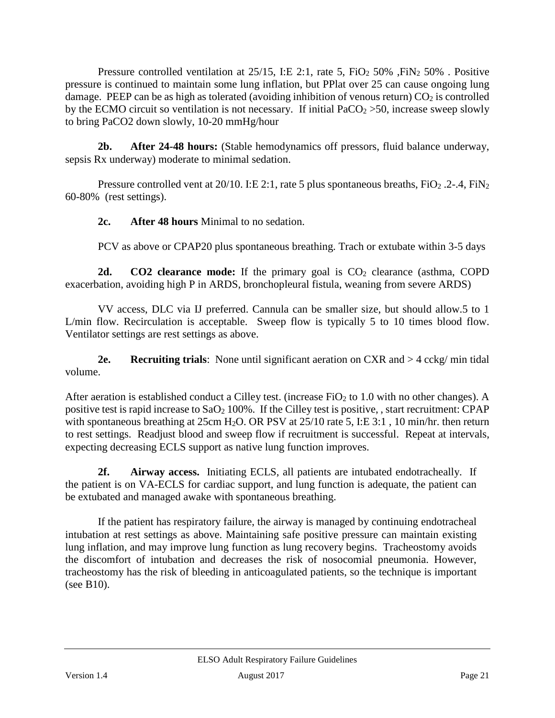Pressure controlled ventilation at  $25/15$ , I:E 2:1, rate 5, FiO<sub>2</sub> 50% , FiN<sub>2</sub> 50% . Positive pressure is continued to maintain some lung inflation, but PPlat over 25 can cause ongoing lung damage. PEEP can be as high as tolerated (avoiding inhibition of venous return)  $CO<sub>2</sub>$  is controlled by the ECMO circuit so ventilation is not necessary. If initial  $PaCO<sub>2</sub> > 50$ , increase sweep slowly to bring PaCO2 down slowly, 10-20 mmHg/hour

**2b. After 24-48 hours:** (Stable hemodynamics off pressors, fluid balance underway, sepsis Rx underway) moderate to minimal sedation.

Pressure controlled vent at  $20/10$ . I:E 2:1, rate 5 plus spontaneous breaths, FiO<sub>2</sub> .2-.4, FiN<sub>2</sub> 60-80% (rest settings).

**2c. After 48 hours** Minimal to no sedation.

PCV as above or CPAP20 plus spontaneous breathing. Trach or extubate within 3-5 days

**2d. CO2 clearance mode:** If the primary goal is CO<sub>2</sub> clearance (asthma, COPD exacerbation, avoiding high P in ARDS, bronchopleural fistula, weaning from severe ARDS)

VV access, DLC via IJ preferred. Cannula can be smaller size, but should allow.5 to 1 L/min flow. Recirculation is acceptable. Sweep flow is typically 5 to 10 times blood flow. Ventilator settings are rest settings as above.

**2e. Recruiting trials**: None until significant aeration on CXR and > 4 cckg/ min tidal volume.

After aeration is established conduct a Cilley test. (increase  $FiO<sub>2</sub>$  to 1.0 with no other changes). A positive test is rapid increase to  $a_2$  100%. If the Cilley test is positive, , start recruitment: CPAP with spontaneous breathing at 25cm H<sub>2</sub>O. OR PSV at 25/10 rate 5, I:E 3:1, 10 min/hr. then return to rest settings. Readjust blood and sweep flow if recruitment is successful. Repeat at intervals, expecting decreasing ECLS support as native lung function improves.

**2f. Airway access.** Initiating ECLS, all patients are intubated endotracheally. If the patient is on VA-ECLS for cardiac support, and lung function is adequate, the patient can be extubated and managed awake with spontaneous breathing.

If the patient has respiratory failure, the airway is managed by continuing endotracheal intubation at rest settings as above. Maintaining safe positive pressure can maintain existing lung inflation, and may improve lung function as lung recovery begins. Tracheostomy avoids the discomfort of intubation and decreases the risk of nosocomial pneumonia. However, tracheostomy has the risk of bleeding in anticoagulated patients, so the technique is important (see B10).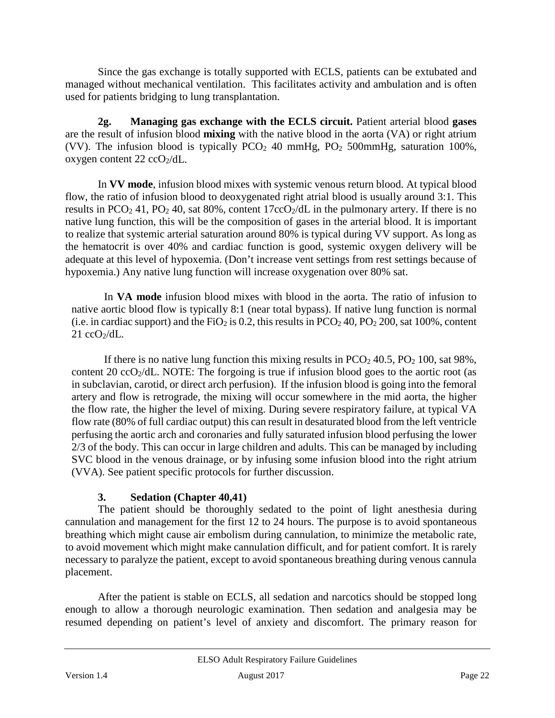Since the gas exchange is totally supported with ECLS, patients can be extubated and managed without mechanical ventilation. This facilitates activity and ambulation and is often used for patients bridging to lung transplantation.

**2g. Managing gas exchange with the ECLS circuit.** Patient arterial blood **gases** are the result of infusion blood **mixing** with the native blood in the aorta (VA) or right atrium (VV). The infusion blood is typically  $PCO<sub>2</sub>$  40 mmHg,  $PO<sub>2</sub>$  500mmHg, saturation 100%, oxygen content  $22 \text{ ccO}_2/\text{dL}$ .

In **VV mode**, infusion blood mixes with systemic venous return blood. At typical blood flow, the ratio of infusion blood to deoxygenated right atrial blood is usually around 3:1. This results in PCO<sub>2</sub> 41, PO<sub>2</sub> 40, sat 80%, content  $17ccO<sub>2</sub>/dL$  in the pulmonary artery. If there is no native lung function, this will be the composition of gases in the arterial blood. It is important to realize that systemic arterial saturation around 80% is typical during VV support. As long as the hematocrit is over 40% and cardiac function is good, systemic oxygen delivery will be adequate at this level of hypoxemia. (Don't increase vent settings from rest settings because of hypoxemia.) Any native lung function will increase oxygenation over 80% sat.

In **VA mode** infusion blood mixes with blood in the aorta. The ratio of infusion to native aortic blood flow is typically 8:1 (near total bypass). If native lung function is normal (i.e. in cardiac support) and the FiO<sub>2</sub> is 0.2, this results in  $PCO<sub>2</sub> 40$ ,  $PO<sub>2</sub> 200$ , sat 100%, content  $21$  ccO<sub>2</sub>/dL.

If there is no native lung function this mixing results in  $PCO<sub>2</sub> 40.5$ ,  $PO<sub>2</sub> 100$ , sat 98%, content 20  $ccO<sub>2</sub>/dL$ . NOTE: The forgoing is true if infusion blood goes to the aortic root (as in subclavian, carotid, or direct arch perfusion). If the infusion blood is going into the femoral artery and flow is retrograde, the mixing will occur somewhere in the mid aorta, the higher the flow rate, the higher the level of mixing. During severe respiratory failure, at typical VA flow rate (80% of full cardiac output) this can result in desaturated blood from the left ventricle perfusing the aortic arch and coronaries and fully saturated infusion blood perfusing the lower 2/3 of the body. This can occur in large children and adults. This can be managed by including SVC blood in the venous drainage, or by infusing some infusion blood into the right atrium (VVA). See patient specific protocols for further discussion.

# **3. Sedation (Chapter 40,41)**

<span id="page-21-0"></span>The patient should be thoroughly sedated to the point of light anesthesia during cannulation and management for the first 12 to 24 hours. The purpose is to avoid spontaneous breathing which might cause air embolism during cannulation, to minimize the metabolic rate, to avoid movement which might make cannulation difficult, and for patient comfort. It is rarely necessary to paralyze the patient, except to avoid spontaneous breathing during venous cannula placement.

After the patient is stable on ECLS, all sedation and narcotics should be stopped long enough to allow a thorough neurologic examination. Then sedation and analgesia may be resumed depending on patient's level of anxiety and discomfort. The primary reason for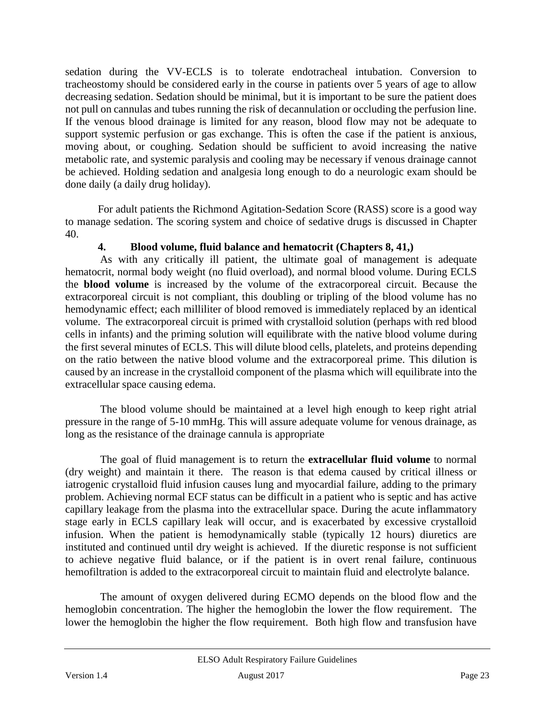sedation during the VV-ECLS is to tolerate endotracheal intubation. Conversion to tracheostomy should be considered early in the course in patients over 5 years of age to allow decreasing sedation. Sedation should be minimal, but it is important to be sure the patient does not pull on cannulas and tubes running the risk of decannulation or occluding the perfusion line. If the venous blood drainage is limited for any reason, blood flow may not be adequate to support systemic perfusion or gas exchange. This is often the case if the patient is anxious, moving about, or coughing. Sedation should be sufficient to avoid increasing the native metabolic rate, and systemic paralysis and cooling may be necessary if venous drainage cannot be achieved. Holding sedation and analgesia long enough to do a neurologic exam should be done daily (a daily drug holiday).

For adult patients the Richmond Agitation-Sedation Score (RASS) score is a good way to manage sedation. The scoring system and choice of sedative drugs is discussed in Chapter 40.

### <span id="page-22-0"></span>**4. Blood volume, fluid balance and hematocrit (Chapters 8, 41,)**

As with any critically ill patient, the ultimate goal of management is adequate hematocrit, normal body weight (no fluid overload), and normal blood volume. During ECLS the **blood volume** is increased by the volume of the extracorporeal circuit. Because the extracorporeal circuit is not compliant, this doubling or tripling of the blood volume has no hemodynamic effect; each milliliter of blood removed is immediately replaced by an identical volume. The extracorporeal circuit is primed with crystalloid solution (perhaps with red blood cells in infants) and the priming solution will equilibrate with the native blood volume during the first several minutes of ECLS. This will dilute blood cells, platelets, and proteins depending on the ratio between the native blood volume and the extracorporeal prime. This dilution is caused by an increase in the crystalloid component of the plasma which will equilibrate into the extracellular space causing edema.

The blood volume should be maintained at a level high enough to keep right atrial pressure in the range of 5-10 mmHg. This will assure adequate volume for venous drainage, as long as the resistance of the drainage cannula is appropriate

The goal of fluid management is to return the **extracellular fluid volume** to normal (dry weight) and maintain it there. The reason is that edema caused by critical illness or iatrogenic crystalloid fluid infusion causes lung and myocardial failure, adding to the primary problem. Achieving normal ECF status can be difficult in a patient who is septic and has active capillary leakage from the plasma into the extracellular space. During the acute inflammatory stage early in ECLS capillary leak will occur, and is exacerbated by excessive crystalloid infusion. When the patient is hemodynamically stable (typically 12 hours) diuretics are instituted and continued until dry weight is achieved. If the diuretic response is not sufficient to achieve negative fluid balance, or if the patient is in overt renal failure, continuous hemofiltration is added to the extracorporeal circuit to maintain fluid and electrolyte balance.

The amount of oxygen delivered during ECMO depends on the blood flow and the hemoglobin concentration. The higher the hemoglobin the lower the flow requirement. The lower the hemoglobin the higher the flow requirement. Both high flow and transfusion have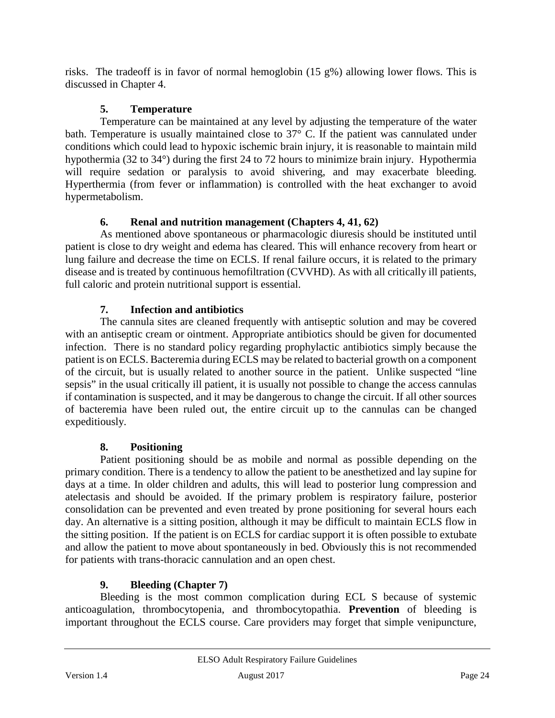risks. The tradeoff is in favor of normal hemoglobin (15 g%) allowing lower flows. This is discussed in Chapter 4.

# **5. Temperature**

<span id="page-23-0"></span>Temperature can be maintained at any level by adjusting the temperature of the water bath. Temperature is usually maintained close to 37° C. If the patient was cannulated under conditions which could lead to hypoxic ischemic brain injury, it is reasonable to maintain mild hypothermia (32 to 34°) during the first 24 to 72 hours to minimize brain injury. Hypothermia will require sedation or paralysis to avoid shivering, and may exacerbate bleeding. Hyperthermia (from fever or inflammation) is controlled with the heat exchanger to avoid hypermetabolism.

# **6. Renal and nutrition management (Chapters 4, 41, 62)**

<span id="page-23-1"></span>As mentioned above spontaneous or pharmacologic diuresis should be instituted until patient is close to dry weight and edema has cleared. This will enhance recovery from heart or lung failure and decrease the time on ECLS. If renal failure occurs, it is related to the primary disease and is treated by continuous hemofiltration (CVVHD). As with all critically ill patients, full caloric and protein nutritional support is essential.

# **7. Infection and antibiotics**

<span id="page-23-2"></span>The cannula sites are cleaned frequently with antiseptic solution and may be covered with an antiseptic cream or ointment. Appropriate antibiotics should be given for documented infection. There is no standard policy regarding prophylactic antibiotics simply because the patient is on ECLS. Bacteremia during ECLS may be related to bacterial growth on a component of the circuit, but is usually related to another source in the patient. Unlike suspected "line sepsis" in the usual critically ill patient, it is usually not possible to change the access cannulas if contamination is suspected, and it may be dangerous to change the circuit. If all other sources of bacteremia have been ruled out, the entire circuit up to the cannulas can be changed expeditiously.

# **8. Positioning**

<span id="page-23-3"></span>Patient positioning should be as mobile and normal as possible depending on the primary condition. There is a tendency to allow the patient to be anesthetized and lay supine for days at a time. In older children and adults, this will lead to posterior lung compression and atelectasis and should be avoided. If the primary problem is respiratory failure, posterior consolidation can be prevented and even treated by prone positioning for several hours each day. An alternative is a sitting position, although it may be difficult to maintain ECLS flow in the sitting position. If the patient is on ECLS for cardiac support it is often possible to extubate and allow the patient to move about spontaneously in bed. Obviously this is not recommended for patients with trans-thoracic cannulation and an open chest.

# **9. Bleeding (Chapter 7)**

<span id="page-23-4"></span>Bleeding is the most common complication during ECL S because of systemic anticoagulation, thrombocytopenia, and thrombocytopathia. **Prevention** of bleeding is important throughout the ECLS course. Care providers may forget that simple venipuncture,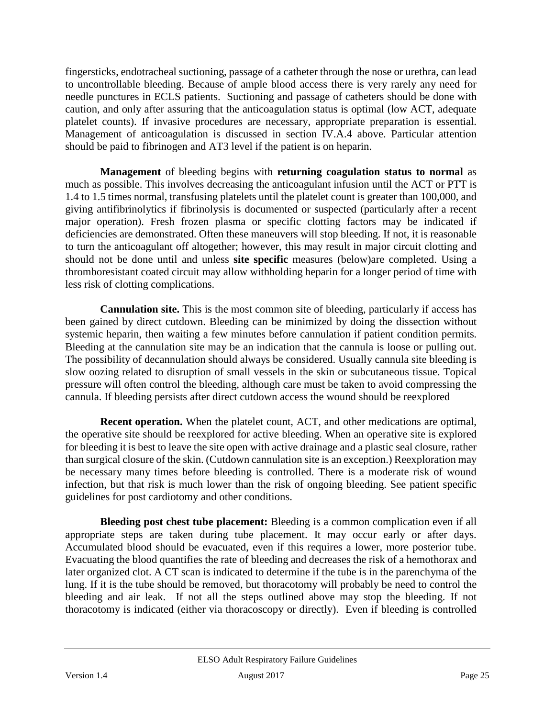fingersticks, endotracheal suctioning, passage of a catheter through the nose or urethra, can lead to uncontrollable bleeding. Because of ample blood access there is very rarely any need for needle punctures in ECLS patients. Suctioning and passage of catheters should be done with caution, and only after assuring that the anticoagulation status is optimal (low ACT, adequate platelet counts). If invasive procedures are necessary, appropriate preparation is essential. Management of anticoagulation is discussed in section IV.A.4 above. Particular attention should be paid to fibrinogen and AT3 level if the patient is on heparin.

**Management** of bleeding begins with **returning coagulation status to normal** as much as possible. This involves decreasing the anticoagulant infusion until the ACT or PTT is 1.4 to 1.5 times normal, transfusing platelets until the platelet count is greater than 100,000, and giving antifibrinolytics if fibrinolysis is documented or suspected (particularly after a recent major operation). Fresh frozen plasma or specific clotting factors may be indicated if deficiencies are demonstrated. Often these maneuvers will stop bleeding. If not, it is reasonable to turn the anticoagulant off altogether; however, this may result in major circuit clotting and should not be done until and unless **site specific** measures (below)are completed. Using a thromboresistant coated circuit may allow withholding heparin for a longer period of time with less risk of clotting complications.

**Cannulation site.** This is the most common site of bleeding, particularly if access has been gained by direct cutdown. Bleeding can be minimized by doing the dissection without systemic heparin, then waiting a few minutes before cannulation if patient condition permits. Bleeding at the cannulation site may be an indication that the cannula is loose or pulling out. The possibility of decannulation should always be considered. Usually cannula site bleeding is slow oozing related to disruption of small vessels in the skin or subcutaneous tissue. Topical pressure will often control the bleeding, although care must be taken to avoid compressing the cannula. If bleeding persists after direct cutdown access the wound should be reexplored

**Recent operation.** When the platelet count, ACT, and other medications are optimal, the operative site should be reexplored for active bleeding. When an operative site is explored for bleeding it is best to leave the site open with active drainage and a plastic seal closure, rather than surgical closure of the skin. (Cutdown cannulation site is an exception.) Reexploration may be necessary many times before bleeding is controlled. There is a moderate risk of wound infection, but that risk is much lower than the risk of ongoing bleeding. See patient specific guidelines for post cardiotomy and other conditions.

**Bleeding post chest tube placement:** Bleeding is a common complication even if all appropriate steps are taken during tube placement. It may occur early or after days. Accumulated blood should be evacuated, even if this requires a lower, more posterior tube. Evacuating the blood quantifies the rate of bleeding and decreases the risk of a hemothorax and later organized clot. A CT scan is indicated to determine if the tube is in the parenchyma of the lung. If it is the tube should be removed, but thoracotomy will probably be need to control the bleeding and air leak. If not all the steps outlined above may stop the bleeding. If not thoracotomy is indicated (either via thoracoscopy or directly). Even if bleeding is controlled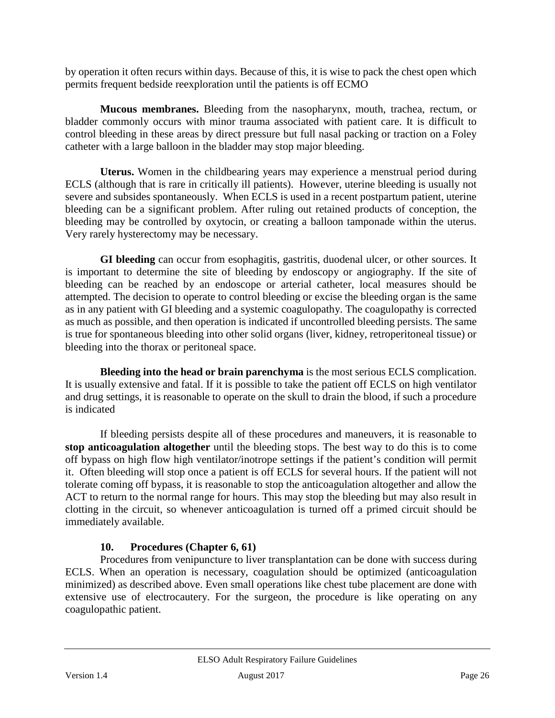by operation it often recurs within days. Because of this, it is wise to pack the chest open which permits frequent bedside reexploration until the patients is off ECMO

**Mucous membranes.** Bleeding from the nasopharynx, mouth, trachea, rectum, or bladder commonly occurs with minor trauma associated with patient care. It is difficult to control bleeding in these areas by direct pressure but full nasal packing or traction on a Foley catheter with a large balloon in the bladder may stop major bleeding.

**Uterus.** Women in the childbearing years may experience a menstrual period during ECLS (although that is rare in critically ill patients). However, uterine bleeding is usually not severe and subsides spontaneously. When ECLS is used in a recent postpartum patient, uterine bleeding can be a significant problem. After ruling out retained products of conception, the bleeding may be controlled by oxytocin, or creating a balloon tamponade within the uterus. Very rarely hysterectomy may be necessary.

**GI bleeding** can occur from esophagitis, gastritis, duodenal ulcer, or other sources. It is important to determine the site of bleeding by endoscopy or angiography. If the site of bleeding can be reached by an endoscope or arterial catheter, local measures should be attempted. The decision to operate to control bleeding or excise the bleeding organ is the same as in any patient with GI bleeding and a systemic coagulopathy. The coagulopathy is corrected as much as possible, and then operation is indicated if uncontrolled bleeding persists. The same is true for spontaneous bleeding into other solid organs (liver, kidney, retroperitoneal tissue) or bleeding into the thorax or peritoneal space.

**Bleeding into the head or brain parenchyma** is the most serious ECLS complication. It is usually extensive and fatal. If it is possible to take the patient off ECLS on high ventilator and drug settings, it is reasonable to operate on the skull to drain the blood, if such a procedure is indicated

If bleeding persists despite all of these procedures and maneuvers, it is reasonable to **stop anticoagulation altogether** until the bleeding stops. The best way to do this is to come off bypass on high flow high ventilator/inotrope settings if the patient's condition will permit it. Often bleeding will stop once a patient is off ECLS for several hours. If the patient will not tolerate coming off bypass, it is reasonable to stop the anticoagulation altogether and allow the ACT to return to the normal range for hours. This may stop the bleeding but may also result in clotting in the circuit, so whenever anticoagulation is turned off a primed circuit should be immediately available.

# **10. Procedures (Chapter 6, 61)**

<span id="page-25-0"></span>Procedures from venipuncture to liver transplantation can be done with success during ECLS. When an operation is necessary, coagulation should be optimized (anticoagulation minimized) as described above. Even small operations like chest tube placement are done with extensive use of electrocautery. For the surgeon, the procedure is like operating on any coagulopathic patient.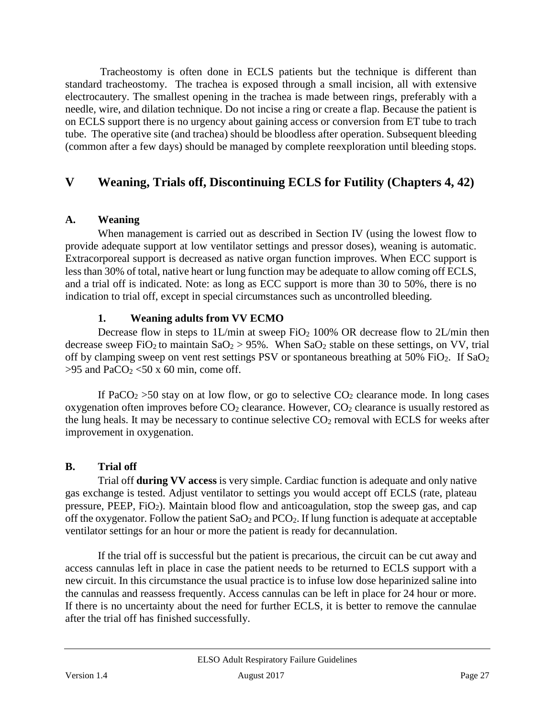Tracheostomy is often done in ECLS patients but the technique is different than standard tracheostomy. The trachea is exposed through a small incision, all with extensive electrocautery. The smallest opening in the trachea is made between rings, preferably with a needle, wire, and dilation technique. Do not incise a ring or create a flap. Because the patient is on ECLS support there is no urgency about gaining access or conversion from ET tube to trach tube. The operative site (and trachea) should be bloodless after operation. Subsequent bleeding (common after a few days) should be managed by complete reexploration until bleeding stops.

# <span id="page-26-0"></span>**V Weaning, Trials off, Discontinuing ECLS for Futility (Chapters 4, 42)**

### <span id="page-26-1"></span>**A. Weaning**

When management is carried out as described in Section IV (using the lowest flow to provide adequate support at low ventilator settings and pressor doses), weaning is automatic. Extracorporeal support is decreased as native organ function improves. When ECC support is less than 30% of total, native heart or lung function may be adequate to allow coming off ECLS, and a trial off is indicated. Note: as long as ECC support is more than 30 to 50%, there is no indication to trial off, except in special circumstances such as uncontrolled bleeding.

#### **1. Weaning adults from VV ECMO**

<span id="page-26-2"></span>Decrease flow in steps to  $1L/min$  at sweep FiO<sub>2</sub> 100% OR decrease flow to  $2L/min$  then decrease sweep FiO<sub>2</sub> to maintain  $SaO_2 > 95\%$ . When  $SaO_2$  stable on these settings, on VV, trial off by clamping sweep on vent rest settings PSV or spontaneous breathing at  $50\%$  FiO<sub>2</sub>. If SaO<sub>2</sub>  $>95$  and PaCO<sub>2</sub> <50 x 60 min, come off.

If PaCO<sub>2</sub> > 50 stay on at low flow, or go to selective  $CO_2$  clearance mode. In long cases oxygenation often improves before  $CO<sub>2</sub>$  clearance. However,  $CO<sub>2</sub>$  clearance is usually restored as the lung heals. It may be necessary to continue selective  $CO<sub>2</sub>$  removal with ECLS for weeks after improvement in oxygenation.

# <span id="page-26-3"></span>**B. Trial off**

Trial off **during VV access** is very simple. Cardiac function is adequate and only native gas exchange is tested. Adjust ventilator to settings you would accept off ECLS (rate, plateau pressure, PEEP, FiO2). Maintain blood flow and anticoagulation, stop the sweep gas, and cap off the oxygenator. Follow the patient  $SaO_2$  and  $PCO_2$ . If lung function is adequate at acceptable ventilator settings for an hour or more the patient is ready for decannulation.

If the trial off is successful but the patient is precarious, the circuit can be cut away and access cannulas left in place in case the patient needs to be returned to ECLS support with a new circuit. In this circumstance the usual practice is to infuse low dose heparinized saline into the cannulas and reassess frequently. Access cannulas can be left in place for 24 hour or more. If there is no uncertainty about the need for further ECLS, it is better to remove the cannulae after the trial off has finished successfully.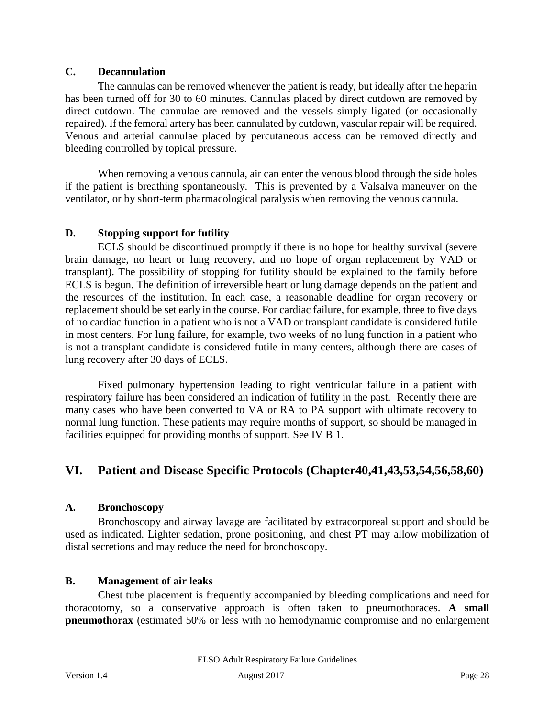#### <span id="page-27-0"></span>**C. Decannulation**

The cannulas can be removed whenever the patient is ready, but ideally after the heparin has been turned off for 30 to 60 minutes. Cannulas placed by direct cutdown are removed by direct cutdown. The cannulae are removed and the vessels simply ligated (or occasionally repaired). If the femoral artery has been cannulated by cutdown, vascular repair will be required. Venous and arterial cannulae placed by percutaneous access can be removed directly and bleeding controlled by topical pressure.

When removing a venous cannula, air can enter the venous blood through the side holes if the patient is breathing spontaneously. This is prevented by a Valsalva maneuver on the ventilator, or by short-term pharmacological paralysis when removing the venous cannula.

# <span id="page-27-1"></span>**D. Stopping support for futility**

ECLS should be discontinued promptly if there is no hope for healthy survival (severe brain damage, no heart or lung recovery, and no hope of organ replacement by VAD or transplant). The possibility of stopping for futility should be explained to the family before ECLS is begun. The definition of irreversible heart or lung damage depends on the patient and the resources of the institution. In each case, a reasonable deadline for organ recovery or replacement should be set early in the course. For cardiac failure, for example, three to five days of no cardiac function in a patient who is not a VAD or transplant candidate is considered futile in most centers. For lung failure, for example, two weeks of no lung function in a patient who is not a transplant candidate is considered futile in many centers, although there are cases of lung recovery after 30 days of ECLS.

Fixed pulmonary hypertension leading to right ventricular failure in a patient with respiratory failure has been considered an indication of futility in the past. Recently there are many cases who have been converted to VA or RA to PA support with ultimate recovery to normal lung function. These patients may require months of support, so should be managed in facilities equipped for providing months of support. See IV B 1.

# <span id="page-27-2"></span>**VI. Patient and Disease Specific Protocols (Chapter40,41,43,53,54,56,58,60)**

#### <span id="page-27-3"></span>**A. Bronchoscopy**

Bronchoscopy and airway lavage are facilitated by extracorporeal support and should be used as indicated. Lighter sedation, prone positioning, and chest PT may allow mobilization of distal secretions and may reduce the need for bronchoscopy.

#### <span id="page-27-4"></span>**B. Management of air leaks**

Chest tube placement is frequently accompanied by bleeding complications and need for thoracotomy, so a conservative approach is often taken to pneumothoraces. **A small pneumothorax** (estimated 50% or less with no hemodynamic compromise and no enlargement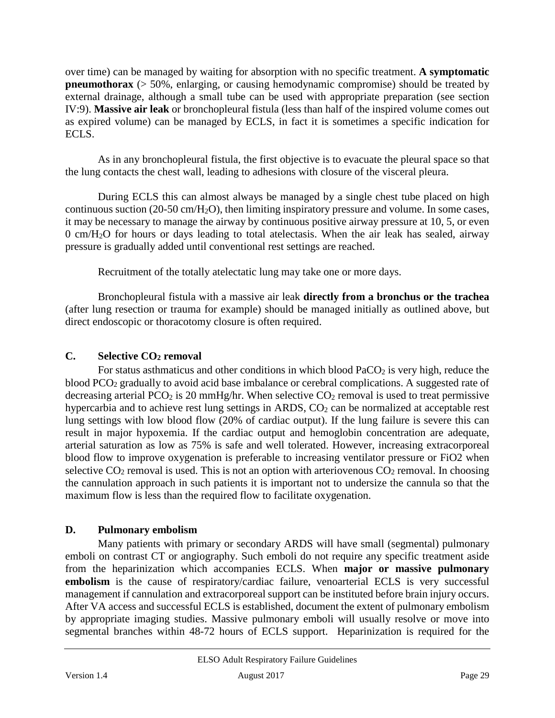over time) can be managed by waiting for absorption with no specific treatment. **A symptomatic pneumothorax** (> 50%, enlarging, or causing hemodynamic compromise) should be treated by external drainage, although a small tube can be used with appropriate preparation (see section IV:9). **Massive air leak** or bronchopleural fistula (less than half of the inspired volume comes out as expired volume) can be managed by ECLS, in fact it is sometimes a specific indication for ECLS.

As in any bronchopleural fistula, the first objective is to evacuate the pleural space so that the lung contacts the chest wall, leading to adhesions with closure of the visceral pleura.

During ECLS this can almost always be managed by a single chest tube placed on high continuous suction (20-50 cm/H2O), then limiting inspiratory pressure and volume. In some cases, it may be necessary to manage the airway by continuous positive airway pressure at 10, 5, or even 0 cm/H2O for hours or days leading to total atelectasis. When the air leak has sealed, airway pressure is gradually added until conventional rest settings are reached.

Recruitment of the totally atelectatic lung may take one or more days.

Bronchopleural fistula with a massive air leak **directly from a bronchus or the trachea**  (after lung resection or trauma for example) should be managed initially as outlined above, but direct endoscopic or thoracotomy closure is often required.

# <span id="page-28-0"></span>**C. Selective CO2 removal**

For status asthmaticus and other conditions in which blood  $PaCO<sub>2</sub>$  is very high, reduce the blood PCO<sub>2</sub> gradually to avoid acid base imbalance or cerebral complications. A suggested rate of decreasing arterial PCO<sub>2</sub> is 20 mmHg/hr. When selective  $CO_2$  removal is used to treat permissive hypercarbia and to achieve rest lung settings in ARDS, CO<sub>2</sub> can be normalized at acceptable rest lung settings with low blood flow (20% of cardiac output). If the lung failure is severe this can result in major hypoxemia. If the cardiac output and hemoglobin concentration are adequate, arterial saturation as low as 75% is safe and well tolerated. However, increasing extracorporeal blood flow to improve oxygenation is preferable to increasing ventilator pressure or FiO2 when selective  $CO_2$  removal is used. This is not an option with arteriovenous  $CO_2$  removal. In choosing the cannulation approach in such patients it is important not to undersize the cannula so that the maximum flow is less than the required flow to facilitate oxygenation.

# <span id="page-28-1"></span>**D. Pulmonary embolism**

Many patients with primary or secondary ARDS will have small (segmental) pulmonary emboli on contrast CT or angiography. Such emboli do not require any specific treatment aside from the heparinization which accompanies ECLS. When **major or massive pulmonary embolism** is the cause of respiratory/cardiac failure, venoarterial ECLS is very successful management if cannulation and extracorporeal support can be instituted before brain injury occurs. After VA access and successful ECLS is established, document the extent of pulmonary embolism by appropriate imaging studies. Massive pulmonary emboli will usually resolve or move into segmental branches within 48-72 hours of ECLS support. Heparinization is required for the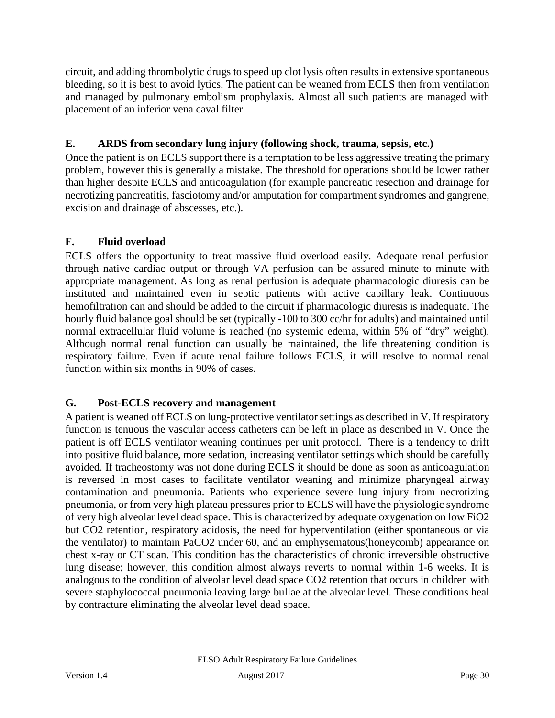circuit, and adding thrombolytic drugs to speed up clot lysis often results in extensive spontaneous bleeding, so it is best to avoid lytics. The patient can be weaned from ECLS then from ventilation and managed by pulmonary embolism prophylaxis. Almost all such patients are managed with placement of an inferior vena caval filter.

# <span id="page-29-0"></span>**E. ARDS from secondary lung injury (following shock, trauma, sepsis, etc.)**

Once the patient is on ECLS support there is a temptation to be less aggressive treating the primary problem, however this is generally a mistake. The threshold for operations should be lower rather than higher despite ECLS and anticoagulation (for example pancreatic resection and drainage for necrotizing pancreatitis, fasciotomy and/or amputation for compartment syndromes and gangrene, excision and drainage of abscesses, etc.).

# <span id="page-29-1"></span>**F. Fluid overload**

ECLS offers the opportunity to treat massive fluid overload easily. Adequate renal perfusion through native cardiac output or through VA perfusion can be assured minute to minute with appropriate management. As long as renal perfusion is adequate pharmacologic diuresis can be instituted and maintained even in septic patients with active capillary leak. Continuous hemofiltration can and should be added to the circuit if pharmacologic diuresis is inadequate. The hourly fluid balance goal should be set (typically -100 to 300 cc/hr for adults) and maintained until normal extracellular fluid volume is reached (no systemic edema, within 5% of "dry" weight). Although normal renal function can usually be maintained, the life threatening condition is respiratory failure. Even if acute renal failure follows ECLS, it will resolve to normal renal function within six months in 90% of cases.

# <span id="page-29-2"></span>**G. Post-ECLS recovery and management**

A patient is weaned off ECLS on lung-protective ventilator settings as described in V. If respiratory function is tenuous the vascular access catheters can be left in place as described in V. Once the patient is off ECLS ventilator weaning continues per unit protocol. There is a tendency to drift into positive fluid balance, more sedation, increasing ventilator settings which should be carefully avoided. If tracheostomy was not done during ECLS it should be done as soon as anticoagulation is reversed in most cases to facilitate ventilator weaning and minimize pharyngeal airway contamination and pneumonia. Patients who experience severe lung injury from necrotizing pneumonia, or from very high plateau pressures prior to ECLS will have the physiologic syndrome of very high alveolar level dead space. This is characterized by adequate oxygenation on low FiO2 but CO2 retention, respiratory acidosis, the need for hyperventilation (either spontaneous or via the ventilator) to maintain PaCO2 under 60, and an emphysematous(honeycomb) appearance on chest x-ray or CT scan. This condition has the characteristics of chronic irreversible obstructive lung disease; however, this condition almost always reverts to normal within 1-6 weeks. It is analogous to the condition of alveolar level dead space CO2 retention that occurs in children with severe staphylococcal pneumonia leaving large bullae at the alveolar level. These conditions heal by contracture eliminating the alveolar level dead space.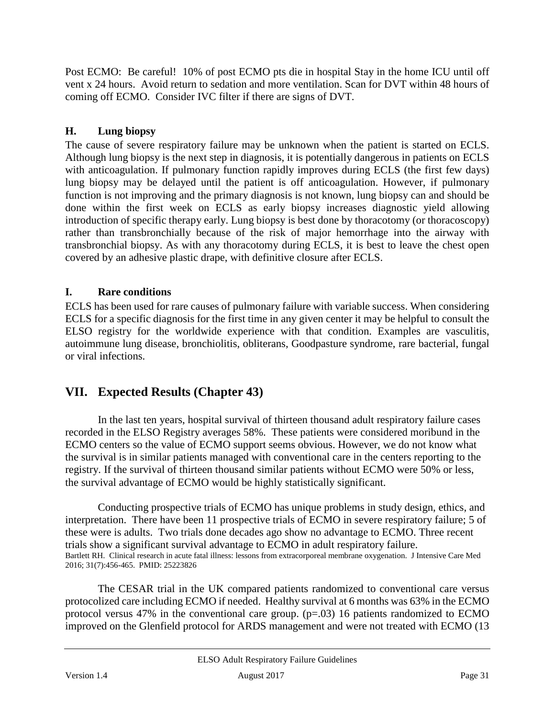Post ECMO: Be careful! 10% of post ECMO pts die in hospital Stay in the home ICU until off vent x 24 hours.Avoid return to sedation and more ventilation. Scan for DVT within 48 hours of coming off ECMO. Consider IVC filter if there are signs of DVT.

### <span id="page-30-0"></span>**H. Lung biopsy**

The cause of severe respiratory failure may be unknown when the patient is started on ECLS. Although lung biopsy is the next step in diagnosis, it is potentially dangerous in patients on ECLS with anticoagulation. If pulmonary function rapidly improves during ECLS (the first few days) lung biopsy may be delayed until the patient is off anticoagulation. However, if pulmonary function is not improving and the primary diagnosis is not known, lung biopsy can and should be done within the first week on ECLS as early biopsy increases diagnostic yield allowing introduction of specific therapy early. Lung biopsy is best done by thoracotomy (or thoracoscopy) rather than transbronchially because of the risk of major hemorrhage into the airway with transbronchial biopsy. As with any thoracotomy during ECLS, it is best to leave the chest open covered by an adhesive plastic drape, with definitive closure after ECLS.

### <span id="page-30-1"></span>**I. Rare conditions**

ECLS has been used for rare causes of pulmonary failure with variable success. When considering ECLS for a specific diagnosis for the first time in any given center it may be helpful to consult the ELSO registry for the worldwide experience with that condition. Examples are vasculitis, autoimmune lung disease, bronchiolitis, obliterans, Goodpasture syndrome, rare bacterial, fungal or viral infections.

# <span id="page-30-2"></span>**VII. Expected Results (Chapter 43)**

In the last ten years, hospital survival of thirteen thousand adult respiratory failure cases recorded in the ELSO Registry averages 58%. These patients were considered moribund in the ECMO centers so the value of ECMO support seems obvious. However, we do not know what the survival is in similar patients managed with conventional care in the centers reporting to the registry. If the survival of thirteen thousand similar patients without ECMO were 50% or less, the survival advantage of ECMO would be highly statistically significant.

Conducting prospective trials of ECMO has unique problems in study design, ethics, and interpretation. There have been 11 prospective trials of ECMO in severe respiratory failure; 5 of these were is adults. Two trials done decades ago show no advantage to ECMO. Three recent trials show a significant survival advantage to ECMO in adult respiratory failure. Bartlett RH. Clinical research in acute fatal illness: lessons from extracorporeal membrane oxygenation. J Intensive Care Med 2016; 31(7):456-465. PMID: 25223826

The CESAR trial in the UK compared patients randomized to conventional care versus protocolized care including ECMO if needed. Healthy survival at 6 months was 63% in the ECMO protocol versus 47% in the conventional care group.  $(p=.03)$  16 patients randomized to ECMO improved on the Glenfield protocol for ARDS management and were not treated with ECMO (13